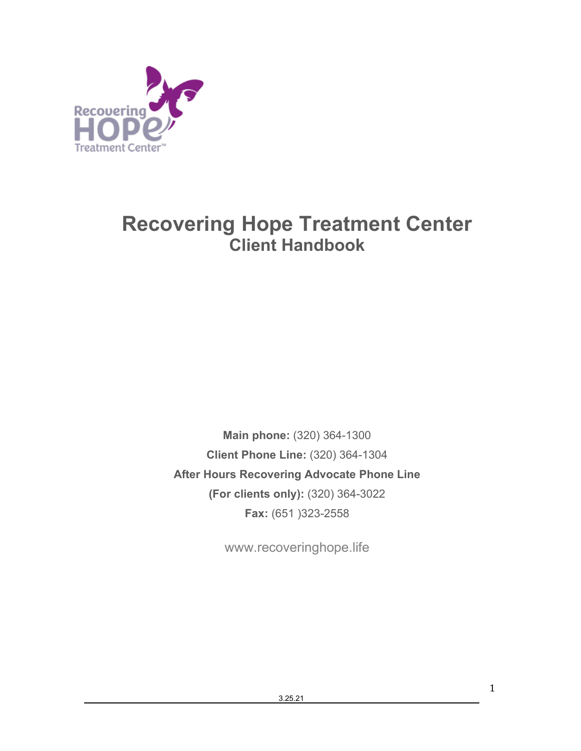

# **Recovering Hope Treatment Center Client Handbook**

**Main phone:** (320) 364-1300 **Client Phone Line:** (320) 364-1304 **After Hours Recovering Advocate Phone Line (For clients only):** (320) 364-3022 **Fax:** (651 )323-2558

www.recoveringhope.life

1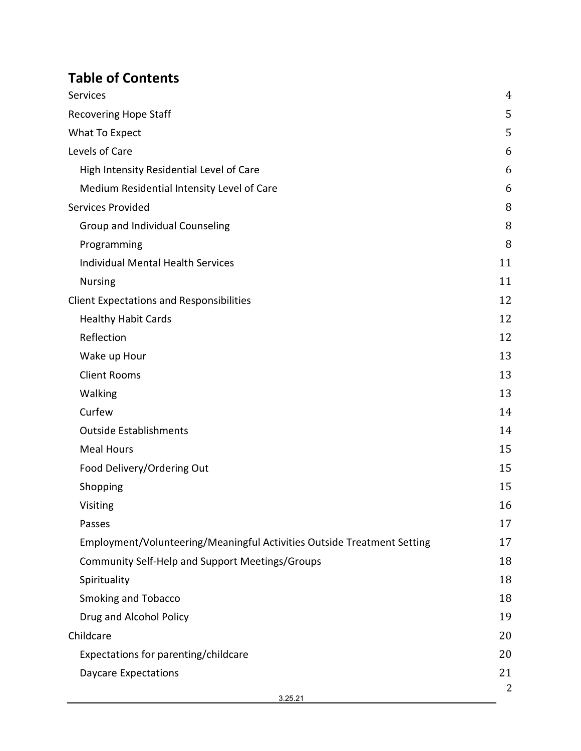# **Table of Contents**

| Services                                                                | 4              |
|-------------------------------------------------------------------------|----------------|
| <b>Recovering Hope Staff</b>                                            | 5              |
| What To Expect                                                          | 5              |
| Levels of Care                                                          | 6              |
| High Intensity Residential Level of Care                                | 6              |
| Medium Residential Intensity Level of Care                              | 6              |
| Services Provided                                                       | 8              |
| Group and Individual Counseling                                         | 8              |
| Programming                                                             | 8              |
| <b>Individual Mental Health Services</b>                                | 11             |
| <b>Nursing</b>                                                          | 11             |
| <b>Client Expectations and Responsibilities</b>                         | 12             |
| <b>Healthy Habit Cards</b>                                              | 12             |
| Reflection                                                              | 12             |
| Wake up Hour                                                            | 13             |
| <b>Client Rooms</b>                                                     | 13             |
| Walking                                                                 | 13             |
| Curfew                                                                  | 14             |
| <b>Outside Establishments</b>                                           | 14             |
| <b>Meal Hours</b>                                                       | 15             |
| Food Delivery/Ordering Out                                              | 15             |
| Shopping                                                                | 15             |
| Visiting                                                                | 16             |
| Passes                                                                  | 17             |
| Employment/Volunteering/Meaningful Activities Outside Treatment Setting | 17             |
| <b>Community Self-Help and Support Meetings/Groups</b>                  | 18             |
| Spirituality                                                            | 18             |
| <b>Smoking and Tobacco</b>                                              | 18             |
| Drug and Alcohol Policy                                                 | 19             |
| Childcare                                                               | 20             |
| Expectations for parenting/childcare                                    | 20             |
| <b>Daycare Expectations</b>                                             | 21             |
| 3.25.21                                                                 | $\overline{2}$ |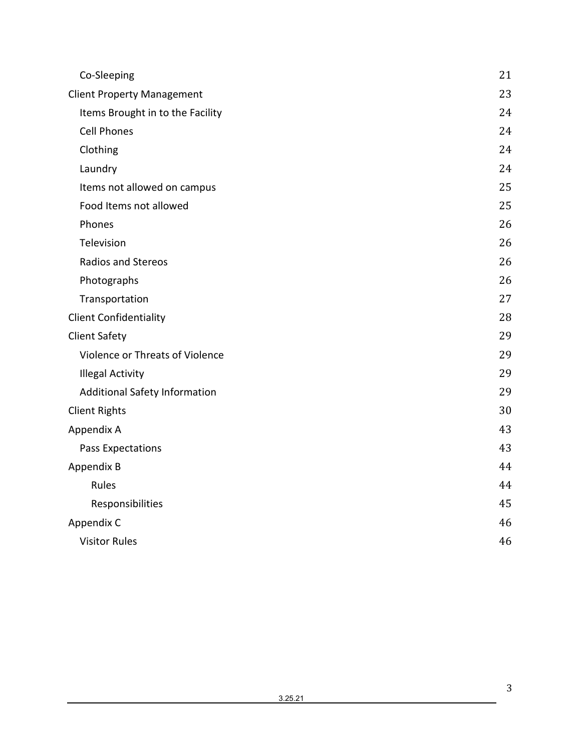| Co-Sleeping                          | 21 |
|--------------------------------------|----|
| <b>Client Property Management</b>    | 23 |
| Items Brought in to the Facility     | 24 |
| <b>Cell Phones</b>                   | 24 |
| Clothing                             | 24 |
| Laundry                              | 24 |
| Items not allowed on campus          | 25 |
| Food Items not allowed               | 25 |
| Phones                               | 26 |
| Television                           | 26 |
| <b>Radios and Stereos</b>            | 26 |
| Photographs                          | 26 |
| Transportation                       | 27 |
| <b>Client Confidentiality</b>        | 28 |
| <b>Client Safety</b>                 | 29 |
| Violence or Threats of Violence      | 29 |
| <b>Illegal Activity</b>              | 29 |
| <b>Additional Safety Information</b> | 29 |
| <b>Client Rights</b>                 | 30 |
| Appendix A                           | 43 |
| Pass Expectations                    | 43 |
| Appendix B                           | 44 |
| Rules                                | 44 |
| Responsibilities                     | 45 |
| Appendix C                           | 46 |
| <b>Visitor Rules</b>                 | 46 |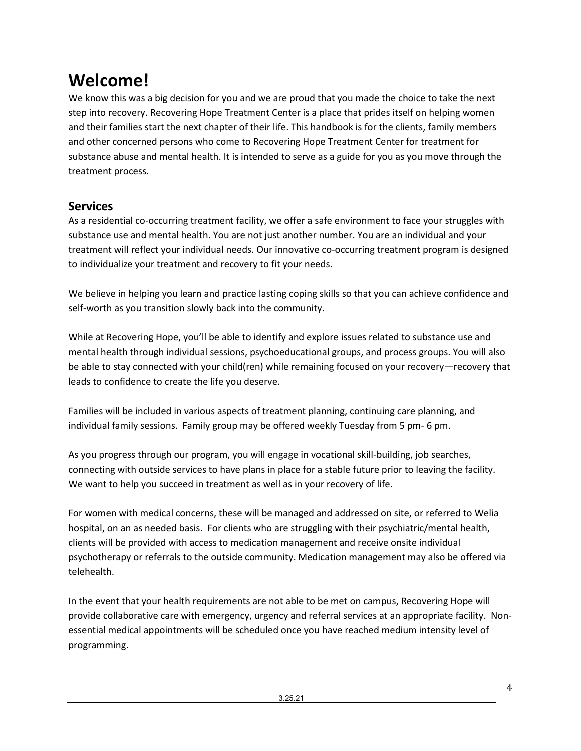# **Welcome!**

We know this was a big decision for you and we are proud that you made the choice to take the next step into recovery. Recovering Hope Treatment Center is a place that prides itself on helping women and their families start the next chapter of their life. This handbook is for the clients, family members and other concerned persons who come to Recovering Hope Treatment Center for treatment for substance abuse and mental health. It is intended to serve as a guide for you as you move through the treatment process.

## <span id="page-3-0"></span>**Services**

As a residential co-occurring treatment facility, we offer a safe environment to face your struggles with substance use and mental health. You are not just another number. You are an individual and your treatment will reflect your individual needs. Our innovative co-occurring treatment program is designed to individualize your treatment and recovery to fit your needs.

We believe in helping you learn and practice lasting coping skills so that you can achieve confidence and self-worth as you transition slowly back into the community.

While at Recovering Hope, you'll be able to identify and explore issues related to substance use and mental health through individual sessions, psychoeducational groups, and process groups. You will also be able to stay connected with your child(ren) while remaining focused on your recovery—recovery that leads to confidence to create the life you deserve.

Families will be included in various aspects of treatment planning, continuing care planning, and individual family sessions. Family group may be offered weekly Tuesday from 5 pm- 6 pm.

As you progress through our program, you will engage in vocational skill-building, job searches, connecting with outside services to have plans in place for a stable future prior to leaving the facility. We want to help you succeed in treatment as well as in your recovery of life.

For women with medical concerns, these will be managed and addressed on site, or referred to Welia hospital, on an as needed basis. For clients who are struggling with their psychiatric/mental health, clients will be provided with access to medication management and receive onsite individual psychotherapy or referrals to the outside community. Medication management may also be offered via telehealth.

In the event that your health requirements are not able to be met on campus, Recovering Hope will provide collaborative care with emergency, urgency and referral services at an appropriate facility. Nonessential medical appointments will be scheduled once you have reached medium intensity level of programming.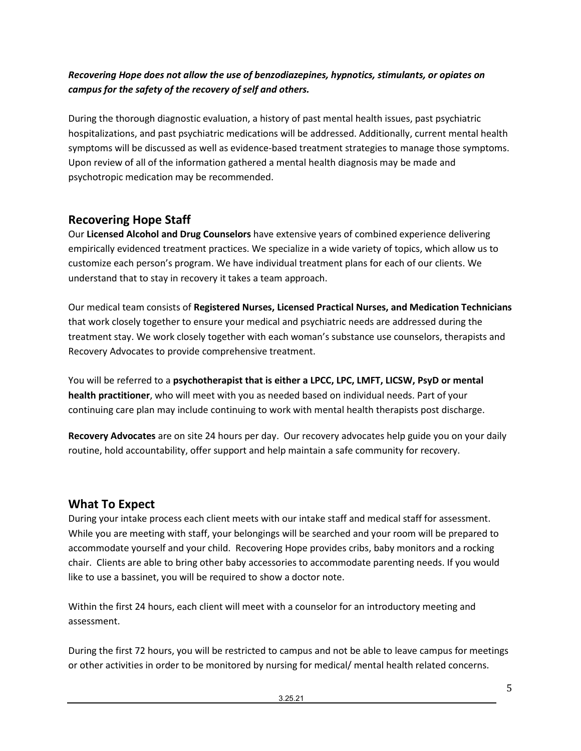## *Recovering Hope does not allow the use of benzodiazepines, hypnotics, stimulants, or opiates on campus for the safety of the recovery of self and others.*

During the thorough diagnostic evaluation, a history of past mental health issues, past psychiatric hospitalizations, and past psychiatric medications will be addressed. Additionally, current mental health symptoms will be discussed as well as evidence-based treatment strategies to manage those symptoms. Upon review of all of the information gathered a mental health diagnosis may be made and psychotropic medication may be recommended.

# <span id="page-4-0"></span>**Recovering Hope Staff**

Our **Licensed Alcohol and Drug Counselors** have extensive years of combined experience delivering empirically evidenced treatment practices. We specialize in a wide variety of topics, which allow us to customize each person's program. We have individual treatment plans for each of our clients. We understand that to stay in recovery it takes a team approach.

Our medical team consists of **Registered Nurses, Licensed Practical Nurses, and Medication Technicians**  that work closely together to ensure your medical and psychiatric needs are addressed during the treatment stay. We work closely together with each woman's substance use counselors, therapists and Recovery Advocates to provide comprehensive treatment.

You will be referred to a **psychotherapist that is either a LPCC, LPC, LMFT, LICSW, PsyD or mental health practitioner**, who will meet with you as needed based on individual needs. Part of your continuing care plan may include continuing to work with mental health therapists post discharge.

**Recovery Advocates** are on site 24 hours per day. Our recovery advocates help guide you on your daily routine, hold accountability, offer support and help maintain a safe community for recovery.

# <span id="page-4-1"></span>**What To Expect**

During your intake process each client meets with our intake staff and medical staff for assessment. While you are meeting with staff, your belongings will be searched and your room will be prepared to accommodate yourself and your child. Recovering Hope provides cribs, baby monitors and a rocking chair. Clients are able to bring other baby accessories to accommodate parenting needs. If you would like to use a bassinet, you will be required to show a doctor note.

Within the first 24 hours, each client will meet with a counselor for an introductory meeting and assessment.

During the first 72 hours, you will be restricted to campus and not be able to leave campus for meetings or other activities in order to be monitored by nursing for medical/ mental health related concerns.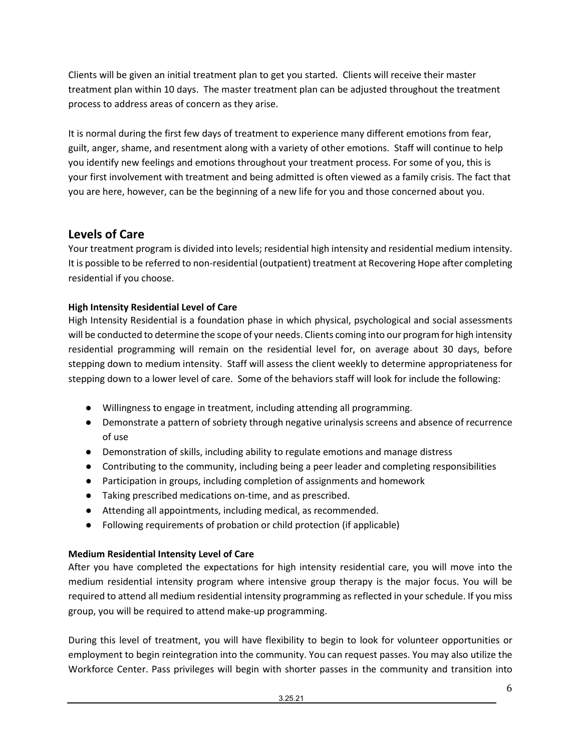Clients will be given an initial treatment plan to get you started. Clients will receive their master treatment plan within 10 days. The master treatment plan can be adjusted throughout the treatment process to address areas of concern as they arise.

It is normal during the first few days of treatment to experience many different emotions from fear, guilt, anger, shame, and resentment along with a variety of other emotions. Staff will continue to help you identify new feelings and emotions throughout your treatment process. For some of you, this is your first involvement with treatment and being admitted is often viewed as a family crisis. The fact that you are here, however, can be the beginning of a new life for you and those concerned about you.

## <span id="page-5-0"></span>**Levels of Care**

Your treatment program is divided into levels; residential high intensity and residential medium intensity. It is possible to be referred to non-residential (outpatient) treatment at Recovering Hope after completing residential if you choose.

## <span id="page-5-1"></span>**High Intensity Residential Level of Care**

High Intensity Residential is a foundation phase in which physical, psychological and social assessments will be conducted to determine the scope of your needs. Clients coming into our program for high intensity residential programming will remain on the residential level for, on average about 30 days, before stepping down to medium intensity. Staff will assess the client weekly to determine appropriateness for stepping down to a lower level of care. Some of the behaviors staff will look for include the following:

- Willingness to engage in treatment, including attending all programming.
- Demonstrate a pattern of sobriety through negative urinalysis screens and absence of recurrence of use
- Demonstration of skills, including ability to regulate emotions and manage distress
- Contributing to the community, including being a peer leader and completing responsibilities
- Participation in groups, including completion of assignments and homework
- Taking prescribed medications on-time, and as prescribed.
- Attending all appointments, including medical, as recommended.
- Following requirements of probation or child protection (if applicable)

## <span id="page-5-2"></span>**Medium Residential Intensity Level of Care**

After you have completed the expectations for high intensity residential care, you will move into the medium residential intensity program where intensive group therapy is the major focus. You will be required to attend all medium residential intensity programming as reflected in your schedule. If you miss group, you will be required to attend make-up programming.

During this level of treatment, you will have flexibility to begin to look for volunteer opportunities or employment to begin reintegration into the community. You can request passes. You may also utilize the Workforce Center. Pass privileges will begin with shorter passes in the community and transition into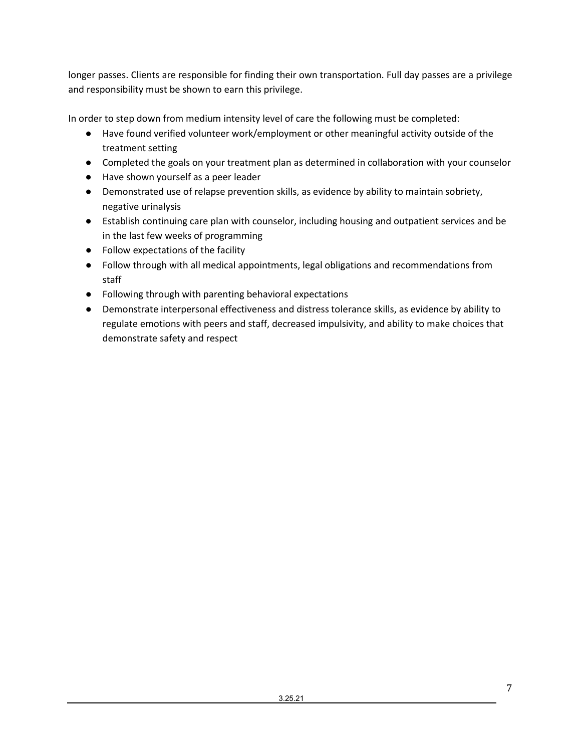longer passes. Clients are responsible for finding their own transportation. Full day passes are a privilege and responsibility must be shown to earn this privilege.

In order to step down from medium intensity level of care the following must be completed:

- Have found verified volunteer work/employment or other meaningful activity outside of the treatment setting
- Completed the goals on your treatment plan as determined in collaboration with your counselor
- Have shown yourself as a peer leader
- Demonstrated use of relapse prevention skills, as evidence by ability to maintain sobriety, negative urinalysis
- Establish continuing care plan with counselor, including housing and outpatient services and be in the last few weeks of programming
- Follow expectations of the facility
- Follow through with all medical appointments, legal obligations and recommendations from staff
- Following through with parenting behavioral expectations
- Demonstrate interpersonal effectiveness and distress tolerance skills, as evidence by ability to regulate emotions with peers and staff, decreased impulsivity, and ability to make choices that demonstrate safety and respect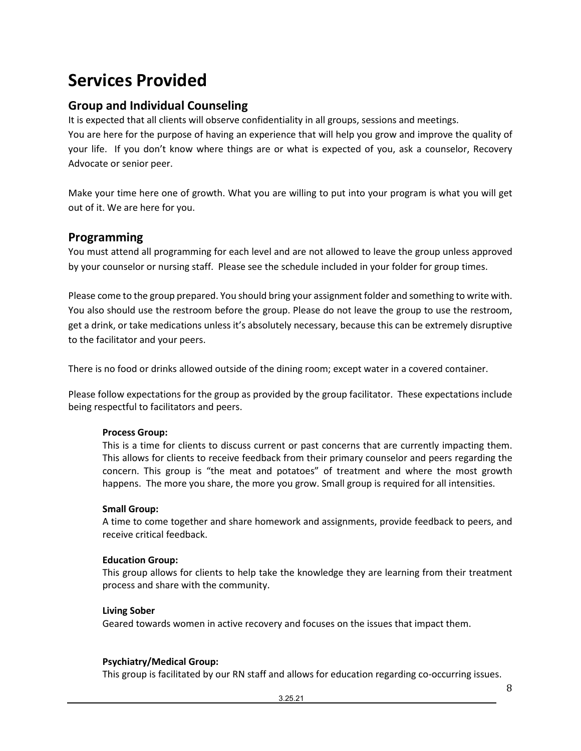# <span id="page-7-0"></span>**Services Provided**

# <span id="page-7-1"></span>**Group and Individual Counseling**

It is expected that all clients will observe confidentiality in all groups, sessions and meetings. You are here for the purpose of having an experience that will help you grow and improve the quality of your life. If you don't know where things are or what is expected of you, ask a counselor, Recovery Advocate or senior peer.

Make your time here one of growth. What you are willing to put into your program is what you will get out of it. We are here for you.

## <span id="page-7-2"></span>**Programming**

You must attend all programming for each level and are not allowed to leave the group unless approved by your counselor or nursing staff. Please see the schedule included in your folder for group times.

Please come to the group prepared. You should bring your assignment folder and something to write with. You also should use the restroom before the group. Please do not leave the group to use the restroom, get a drink, or take medications unless it's absolutely necessary, because this can be extremely disruptive to the facilitator and your peers.

There is no food or drinks allowed outside of the dining room; except water in a covered container.

Please follow expectations for the group as provided by the group facilitator. These expectations include being respectful to facilitators and peers.

## **Process Group:**

This is a time for clients to discuss current or past concerns that are currently impacting them. This allows for clients to receive feedback from their primary counselor and peers regarding the concern. This group is "the meat and potatoes" of treatment and where the most growth happens. The more you share, the more you grow. Small group is required for all intensities.

## **Small Group:**

A time to come together and share homework and assignments, provide feedback to peers, and receive critical feedback.

## **Education Group:**

This group allows for clients to help take the knowledge they are learning from their treatment process and share with the community.

## **Living Sober**

Geared towards women in active recovery and focuses on the issues that impact them.

## **Psychiatry/Medical Group:**

This group is facilitated by our RN staff and allows for education regarding co-occurring issues.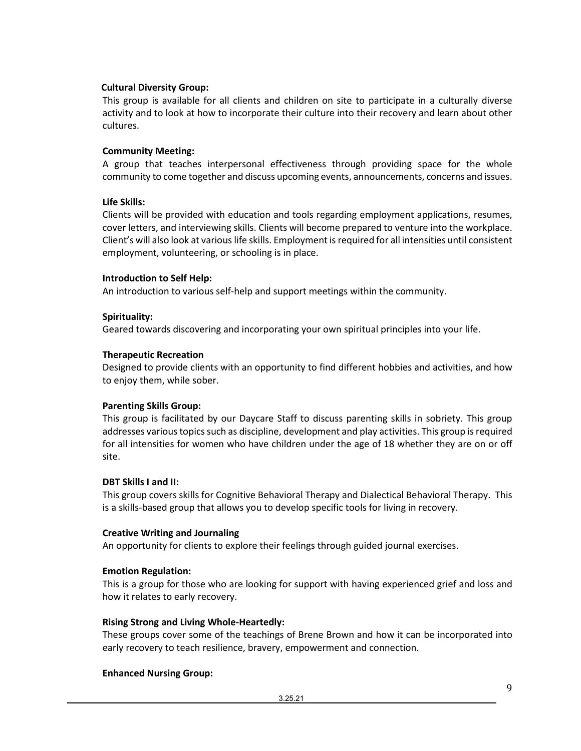## **Cultural Diversity Group:**

This group is available for all clients and children on site to participate in a culturally diverse activity and to look at how to incorporate their culture into their recovery and learn about other cultures.

## **Community Meeting:**

A group that teaches interpersonal effectiveness through providing space for the whole community to come together and discuss upcoming events, announcements, concerns and issues.

## **Life Skills:**

Clients will be provided with education and tools regarding employment applications, resumes, cover letters, and interviewing skills. Clients will become prepared to venture into the workplace. Client's will also look at various life skills. Employment is required for all intensities until consistent employment, volunteering, or schooling is in place.

## **Introduction to Self Help:**

An introduction to various self-help and support meetings within the community.

## **Spirituality:**

Geared towards discovering and incorporating your own spiritual principles into your life.

## **Therapeutic Recreation**

Designed to provide clients with an opportunity to find different hobbies and activities, and how to enjoy them, while sober.

### **Parenting Skills Group:**

This group is facilitated by our Daycare Staff to discuss parenting skills in sobriety. This group addresses various topics such as discipline, development and play activities. This group is required for all intensities for women who have children under the age of 18 whether they are on or off site.

### **DBT Skills I and II:**

This group covers skills for Cognitive Behavioral Therapy and Dialectical Behavioral Therapy. This is a skills-based group that allows you to develop specific tools for living in recovery.

### **Creative Writing and Journaling**

An opportunity for clients to explore their feelings through guided journal exercises.

## **Emotion Regulation:**

This is a group for those who are looking for support with having experienced grief and loss and how it relates to early recovery.

### **Rising Strong and Living Whole-Heartedly:**

These groups cover some of the teachings of Brene Brown and how it can be incorporated into early recovery to teach resilience, bravery, empowerment and connection.

### **Enhanced Nursing Group:**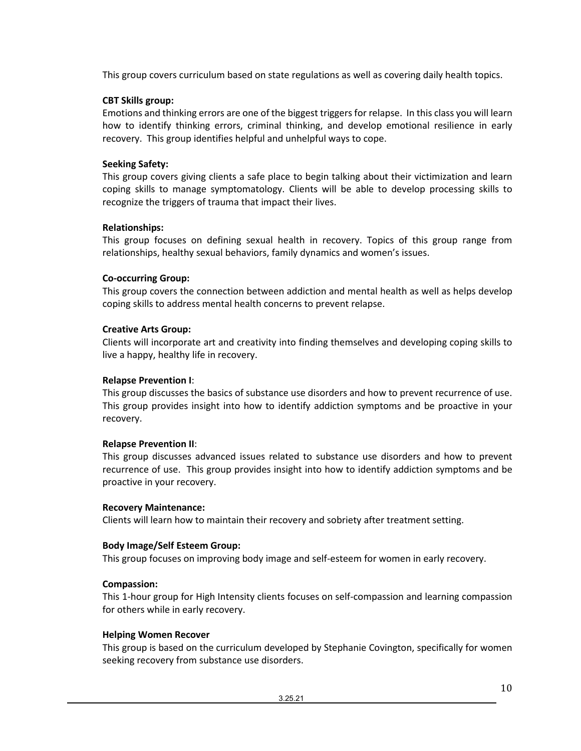This group covers curriculum based on state regulations as well as covering daily health topics.

## **CBT Skills group:**

Emotions and thinking errors are one of the biggest triggers for relapse. In this class you will learn how to identify thinking errors, criminal thinking, and develop emotional resilience in early recovery. This group identifies helpful and unhelpful ways to cope.

## **Seeking Safety:**

This group covers giving clients a safe place to begin talking about their victimization and learn coping skills to manage symptomatology. Clients will be able to develop processing skills to recognize the triggers of trauma that impact their lives.

## **Relationships:**

This group focuses on defining sexual health in recovery. Topics of this group range from relationships, healthy sexual behaviors, family dynamics and women's issues.

## **Co-occurring Group:**

This group covers the connection between addiction and mental health as well as helps develop coping skills to address mental health concerns to prevent relapse.

## **Creative Arts Group:**

Clients will incorporate art and creativity into finding themselves and developing coping skills to live a happy, healthy life in recovery.

### **Relapse Prevention I**:

This group discusses the basics of substance use disorders and how to prevent recurrence of use. This group provides insight into how to identify addiction symptoms and be proactive in your recovery.

### **Relapse Prevention II**:

This group discusses advanced issues related to substance use disorders and how to prevent recurrence of use. This group provides insight into how to identify addiction symptoms and be proactive in your recovery.

### **Recovery Maintenance:**

Clients will learn how to maintain their recovery and sobriety after treatment setting.

## **Body Image/Self Esteem Group:**

This group focuses on improving body image and self-esteem for women in early recovery.

### **Compassion:**

This 1-hour group for High Intensity clients focuses on self-compassion and learning compassion for others while in early recovery.

### **Helping Women Recover**

This group is based on the curriculum developed by Stephanie Covington, specifically for women seeking recovery from substance use disorders.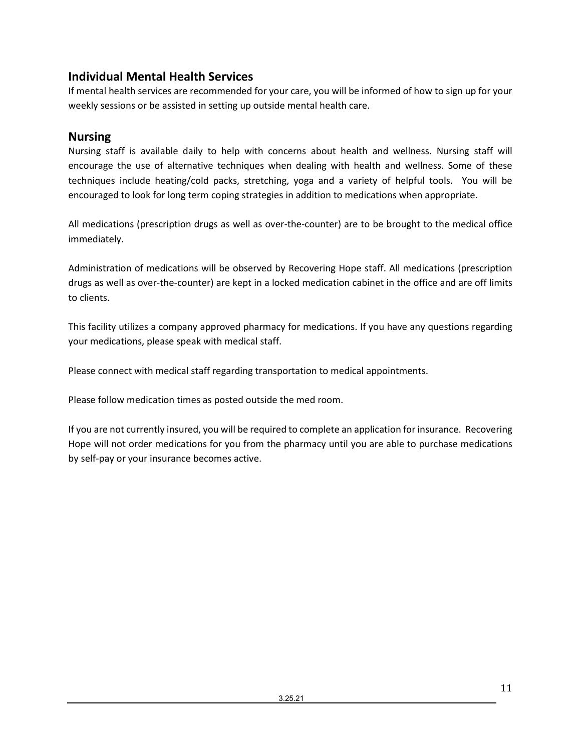# <span id="page-10-0"></span>**Individual Mental Health Services**

If mental health services are recommended for your care, you will be informed of how to sign up for your weekly sessions or be assisted in setting up outside mental health care.

# <span id="page-10-1"></span>**Nursing**

Nursing staff is available daily to help with concerns about health and wellness. Nursing staff will encourage the use of alternative techniques when dealing with health and wellness. Some of these techniques include heating/cold packs, stretching, yoga and a variety of helpful tools. You will be encouraged to look for long term coping strategies in addition to medications when appropriate.

All medications (prescription drugs as well as over-the-counter) are to be brought to the medical office immediately.

Administration of medications will be observed by Recovering Hope staff. All medications (prescription drugs as well as over-the-counter) are kept in a locked medication cabinet in the office and are off limits to clients.

This facility utilizes a company approved pharmacy for medications. If you have any questions regarding your medications, please speak with medical staff.

Please connect with medical staff regarding transportation to medical appointments.

Please follow medication times as posted outside the med room.

If you are not currently insured, you will be required to complete an application for insurance. Recovering Hope will not order medications for you from the pharmacy until you are able to purchase medications by self-pay or your insurance becomes active.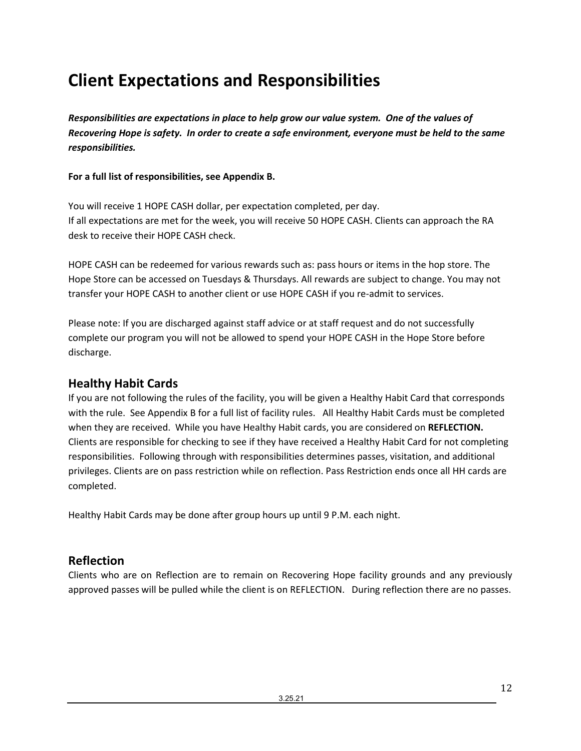# <span id="page-11-0"></span>**Client Expectations and Responsibilities**

*Responsibilities are expectations in place to help grow our value system. One of the values of Recovering Hope is safety. In order to create a safe environment, everyone must be held to the same responsibilities.* 

## **For a full list of responsibilities, see Appendix B.**

You will receive 1 HOPE CASH dollar, per expectation completed, per day. If all expectations are met for the week, you will receive 50 HOPE CASH. Clients can approach the RA desk to receive their HOPE CASH check.

HOPE CASH can be redeemed for various rewards such as: pass hours or items in the hop store. The Hope Store can be accessed on Tuesdays & Thursdays. All rewards are subject to change. You may not transfer your HOPE CASH to another client or use HOPE CASH if you re-admit to services.

Please note: If you are discharged against staff advice or at staff request and do not successfully complete our program you will not be allowed to spend your HOPE CASH in the Hope Store before discharge.

# <span id="page-11-1"></span>**Healthy Habit Cards**

If you are not following the rules of the facility, you will be given a Healthy Habit Card that corresponds with the rule. See Appendix B for a full list of facility rules. All Healthy Habit Cards must be completed when they are received. While you have Healthy Habit cards, you are considered on **REFLECTION.**  Clients are responsible for checking to see if they have received a Healthy Habit Card for not completing responsibilities. Following through with responsibilities determines passes, visitation, and additional privileges. Clients are on pass restriction while on reflection. Pass Restriction ends once all HH cards are completed.

Healthy Habit Cards may be done after group hours up until 9 P.M. each night.

# <span id="page-11-2"></span>**Reflection**

Clients who are on Reflection are to remain on Recovering Hope facility grounds and any previously approved passes will be pulled while the client is on REFLECTION. During reflection there are no passes.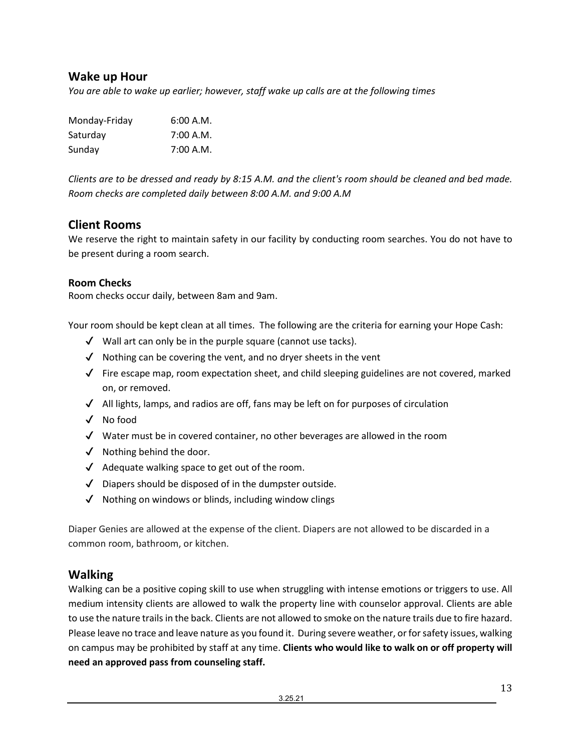# <span id="page-12-0"></span>**Wake up Hour**

*You are able to wake up earlier; however, staff wake up calls are at the following times*

| Monday-Friday | 6:00 A.M. |
|---------------|-----------|
| Saturday      | 7:00 A.M. |
| Sunday        | 7:00 A.M. |

*Clients are to be dressed and ready by 8:15 A.M. and the client's room should be cleaned and bed made. Room checks are completed daily between 8:00 A.M. and 9:00 A.M*

## <span id="page-12-1"></span>**Client Rooms**

We reserve the right to maintain safety in our facility by conducting room searches. You do not have to be present during a room search.

## **Room Checks**

Room checks occur daily, between 8am and 9am.

Your room should be kept clean at all times. The following are the criteria for earning your Hope Cash:

- $\checkmark$  Wall art can only be in the purple square (cannot use tacks).
- $\checkmark$  Nothing can be covering the vent, and no dryer sheets in the vent
- $\checkmark$  Fire escape map, room expectation sheet, and child sleeping guidelines are not covered, marked on, or removed.
- $\checkmark$  All lights, lamps, and radios are off, fans may be left on for purposes of circulation
- ✔ No food
- ✔ Water must be in covered container, no other beverages are allowed in the room
- $\checkmark$  Nothing behind the door.
- $\checkmark$  Adequate walking space to get out of the room.
- $\sqrt{\phantom{a}}$  Diapers should be disposed of in the dumpster outside.
- $\checkmark$  Nothing on windows or blinds, including window clings

Diaper Genies are allowed at the expense of the client. Diapers are not allowed to be discarded in a common room, bathroom, or kitchen.

## <span id="page-12-2"></span>**Walking**

Walking can be a positive coping skill to use when struggling with intense emotions or triggers to use. All medium intensity clients are allowed to walk the property line with counselor approval. Clients are able to use the nature trails in the back. Clients are not allowed to smoke on the nature trails due to fire hazard. Please leave no trace and leave nature as you found it. During severe weather, or for safety issues, walking on campus may be prohibited by staff at any time. **Clients who would like to walk on or off property will need an approved pass from counseling staff.**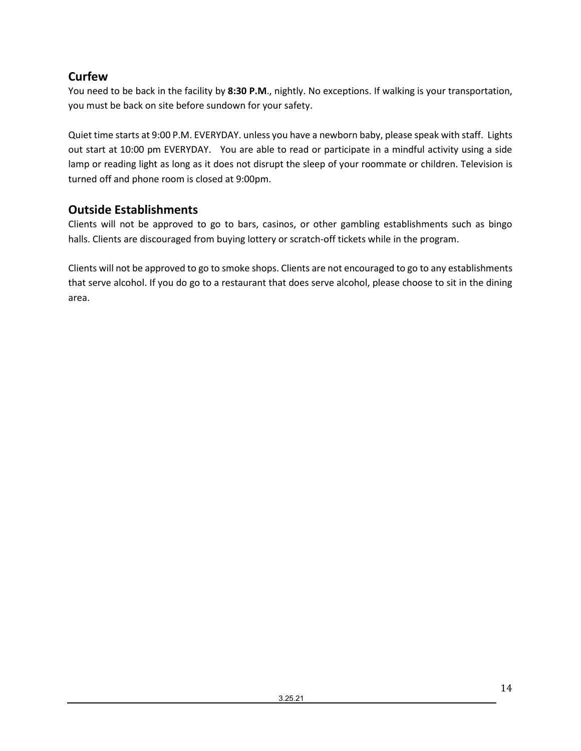# <span id="page-13-0"></span>**Curfew**

You need to be back in the facility by **8:30 P.M**., nightly. No exceptions. If walking is your transportation, you must be back on site before sundown for your safety.

Quiet time starts at 9:00 P.M. EVERYDAY. unless you have a newborn baby, please speak with staff. Lights out start at 10:00 pm EVERYDAY. You are able to read or participate in a mindful activity using a side lamp or reading light as long as it does not disrupt the sleep of your roommate or children. Television is turned off and phone room is closed at 9:00pm.

# <span id="page-13-1"></span>**Outside Establishments**

Clients will not be approved to go to bars, casinos, or other gambling establishments such as bingo halls. Clients are discouraged from buying lottery or scratch-off tickets while in the program.

Clients will not be approved to go to smoke shops. Clients are not encouraged to go to any establishments that serve alcohol. If you do go to a restaurant that does serve alcohol, please choose to sit in the dining area.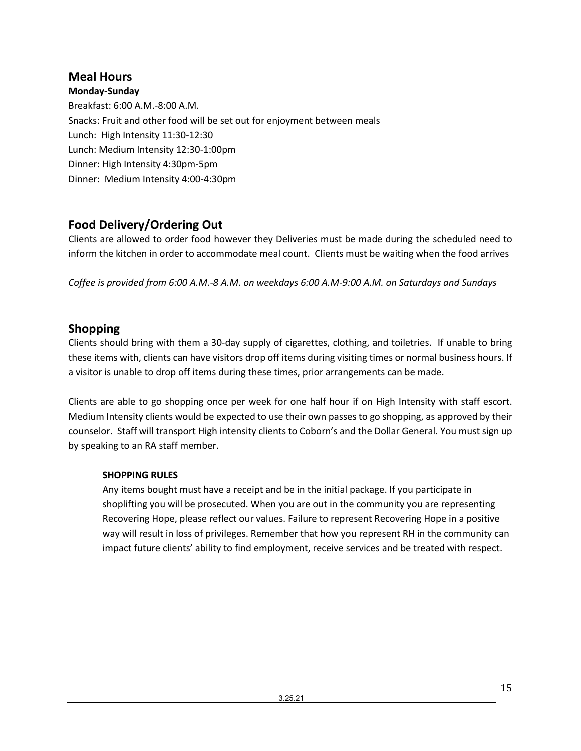# <span id="page-14-0"></span>**Meal Hours**

**Monday-Sunday** Breakfast: 6:00 A.M.-8:00 A.M. Snacks: Fruit and other food will be set out for enjoyment between meals Lunch: High Intensity 11:30-12:30 Lunch: Medium Intensity 12:30-1:00pm Dinner: High Intensity 4:30pm-5pm Dinner: Medium Intensity 4:00-4:30pm

# <span id="page-14-1"></span>**Food Delivery/Ordering Out**

Clients are allowed to order food however they Deliveries must be made during the scheduled need to inform the kitchen in order to accommodate meal count. Clients must be waiting when the food arrives

*Coffee is provided from 6:00 A.M.-8 A.M. on weekdays 6:00 A.M-9:00 A.M. on Saturdays and Sundays*

# <span id="page-14-2"></span>**Shopping**

Clients should bring with them a 30-day supply of cigarettes, clothing, and toiletries. If unable to bring these items with, clients can have visitors drop off items during visiting times or normal business hours. If a visitor is unable to drop off items during these times, prior arrangements can be made.

Clients are able to go shopping once per week for one half hour if on High Intensity with staff escort. Medium Intensity clients would be expected to use their own passes to go shopping, as approved by their counselor. Staff will transport High intensity clients to Coborn's and the Dollar General. You must sign up by speaking to an RA staff member.

## **SHOPPING RULES**

Any items bought must have a receipt and be in the initial package. If you participate in shoplifting you will be prosecuted. When you are out in the community you are representing Recovering Hope, please reflect our values. Failure to represent Recovering Hope in a positive way will result in loss of privileges. Remember that how you represent RH in the community can impact future clients' ability to find employment, receive services and be treated with respect.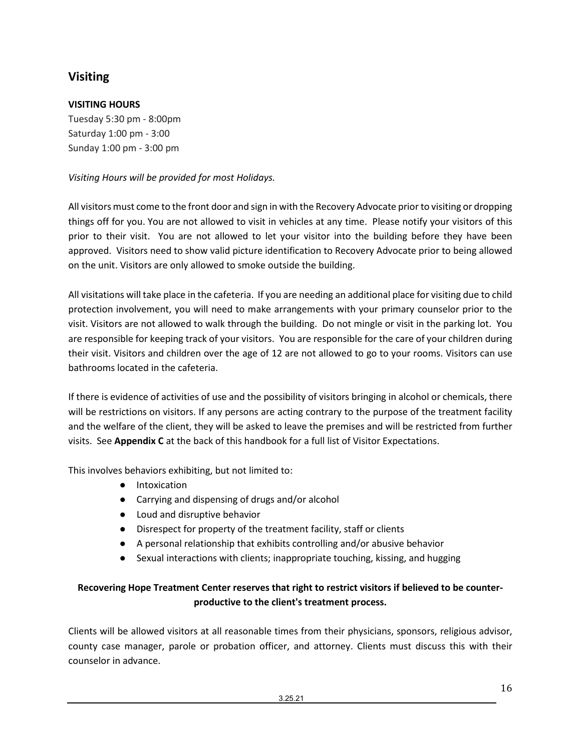# <span id="page-15-0"></span>**Visiting**

## **VISITING HOURS**

Tuesday 5:30 pm - 8:00pm Saturday 1:00 pm - 3:00 Sunday 1:00 pm - 3:00 pm

## *Visiting Hours will be provided for most Holidays.*

All visitors must come to the front door and sign in with the Recovery Advocate prior to visiting or dropping things off for you. You are not allowed to visit in vehicles at any time. Please notify your visitors of this prior to their visit. You are not allowed to let your visitor into the building before they have been approved. Visitors need to show valid picture identification to Recovery Advocate prior to being allowed on the unit. Visitors are only allowed to smoke outside the building.

All visitations will take place in the cafeteria. If you are needing an additional place for visiting due to child protection involvement, you will need to make arrangements with your primary counselor prior to the visit. Visitors are not allowed to walk through the building. Do not mingle or visit in the parking lot. You are responsible for keeping track of your visitors. You are responsible for the care of your children during their visit. Visitors and children over the age of 12 are not allowed to go to your rooms. Visitors can use bathrooms located in the cafeteria.

If there is evidence of activities of use and the possibility of visitors bringing in alcohol or chemicals, there will be restrictions on visitors. If any persons are acting contrary to the purpose of the treatment facility and the welfare of the client, they will be asked to leave the premises and will be restricted from further visits. See **Appendix C** at the back of this handbook for a full list of Visitor Expectations.

This involves behaviors exhibiting, but not limited to:

- Intoxication
- Carrying and dispensing of drugs and/or alcohol
- Loud and disruptive behavior
- Disrespect for property of the treatment facility, staff or clients
- A personal relationship that exhibits controlling and/or abusive behavior
- Sexual interactions with clients; inappropriate touching, kissing, and hugging

## **Recovering Hope Treatment Center reserves that right to restrict visitors if believed to be counterproductive to the client's treatment process.**

Clients will be allowed visitors at all reasonable times from their physicians, sponsors, religious advisor, county case manager, parole or probation officer, and attorney. Clients must discuss this with their counselor in advance.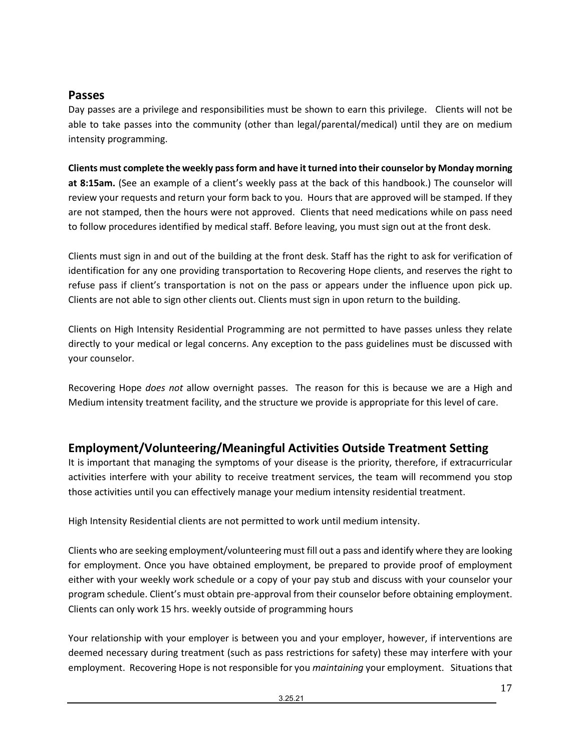## <span id="page-16-0"></span>**Passes**

Day passes are a privilege and responsibilities must be shown to earn this privilege. Clients will not be able to take passes into the community (other than legal/parental/medical) until they are on medium intensity programming.

## **Clients must complete the weekly pass form and have it turned into their counselor by Monday morning**

**at 8:15am.** (See an example of a client's weekly pass at the back of this handbook.) The counselor will review your requests and return your form back to you. Hours that are approved will be stamped. If they are not stamped, then the hours were not approved. Clients that need medications while on pass need to follow procedures identified by medical staff. Before leaving, you must sign out at the front desk.

Clients must sign in and out of the building at the front desk. Staff has the right to ask for verification of identification for any one providing transportation to Recovering Hope clients, and reserves the right to refuse pass if client's transportation is not on the pass or appears under the influence upon pick up. Clients are not able to sign other clients out. Clients must sign in upon return to the building.

Clients on High Intensity Residential Programming are not permitted to have passes unless they relate directly to your medical or legal concerns. Any exception to the pass guidelines must be discussed with your counselor.

Recovering Hope *does not* allow overnight passes. The reason for this is because we are a High and Medium intensity treatment facility, and the structure we provide is appropriate for this level of care.

# <span id="page-16-1"></span>**Employment/Volunteering/Meaningful Activities Outside Treatment Setting**

It is important that managing the symptoms of your disease is the priority, therefore, if extracurricular activities interfere with your ability to receive treatment services, the team will recommend you stop those activities until you can effectively manage your medium intensity residential treatment.

High Intensity Residential clients are not permitted to work until medium intensity.

Clients who are seeking employment/volunteering must fill out a pass and identify where they are looking for employment. Once you have obtained employment, be prepared to provide proof of employment either with your weekly work schedule or a copy of your pay stub and discuss with your counselor your program schedule. Client's must obtain pre-approval from their counselor before obtaining employment. Clients can only work 15 hrs. weekly outside of programming hours

Your relationship with your employer is between you and your employer, however, if interventions are deemed necessary during treatment (such as pass restrictions for safety) these may interfere with your employment. Recovering Hope is not responsible for you *maintaining* your employment. Situations that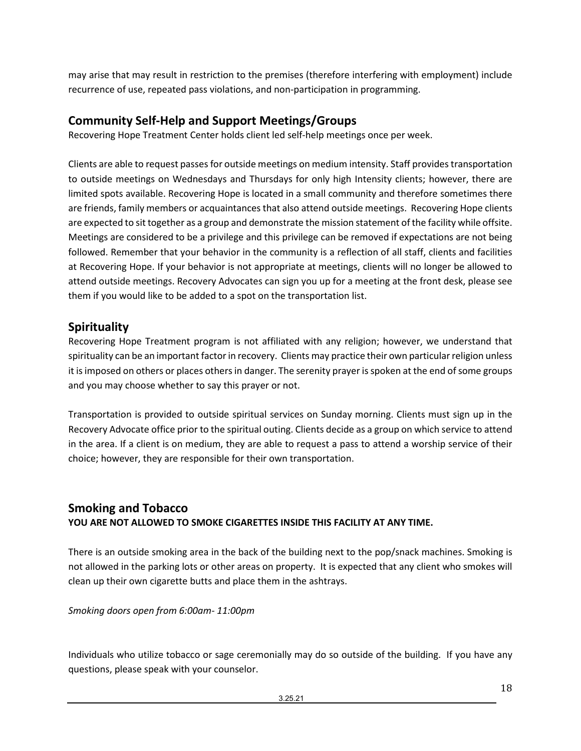may arise that may result in restriction to the premises (therefore interfering with employment) include recurrence of use, repeated pass violations, and non-participation in programming.

# <span id="page-17-0"></span>**Community Self-Help and Support Meetings/Groups**

Recovering Hope Treatment Center holds client led self-help meetings once per week.

Clients are able to request passes for outside meetings on medium intensity. Staff provides transportation to outside meetings on Wednesdays and Thursdays for only high Intensity clients; however, there are limited spots available. Recovering Hope is located in a small community and therefore sometimes there are friends, family members or acquaintances that also attend outside meetings. Recovering Hope clients are expected to sit together as a group and demonstrate the mission statement of the facility while offsite. Meetings are considered to be a privilege and this privilege can be removed if expectations are not being followed. Remember that your behavior in the community is a reflection of all staff, clients and facilities at Recovering Hope. If your behavior is not appropriate at meetings, clients will no longer be allowed to attend outside meetings. Recovery Advocates can sign you up for a meeting at the front desk, please see them if you would like to be added to a spot on the transportation list.

## <span id="page-17-1"></span>**Spirituality**

Recovering Hope Treatment program is not affiliated with any religion; however, we understand that spirituality can be an important factor in recovery. Clients may practice their own particular religion unless it is imposed on others or places others in danger. The serenity prayer is spoken at the end of some groups and you may choose whether to say this prayer or not.

Transportation is provided to outside spiritual services on Sunday morning. Clients must sign up in the Recovery Advocate office prior to the spiritual outing. Clients decide as a group on which service to attend in the area. If a client is on medium, they are able to request a pass to attend a worship service of their choice; however, they are responsible for their own transportation.

# <span id="page-17-2"></span>**Smoking and Tobacco YOU ARE NOT ALLOWED TO SMOKE CIGARETTES INSIDE THIS FACILITY AT ANY TIME.**

There is an outside smoking area in the back of the building next to the pop/snack machines. Smoking is not allowed in the parking lots or other areas on property. It is expected that any client who smokes will clean up their own cigarette butts and place them in the ashtrays.

## *Smoking doors open from 6:00am- 11:00pm*

Individuals who utilize tobacco or sage ceremonially may do so outside of the building. If you have any questions, please speak with your counselor.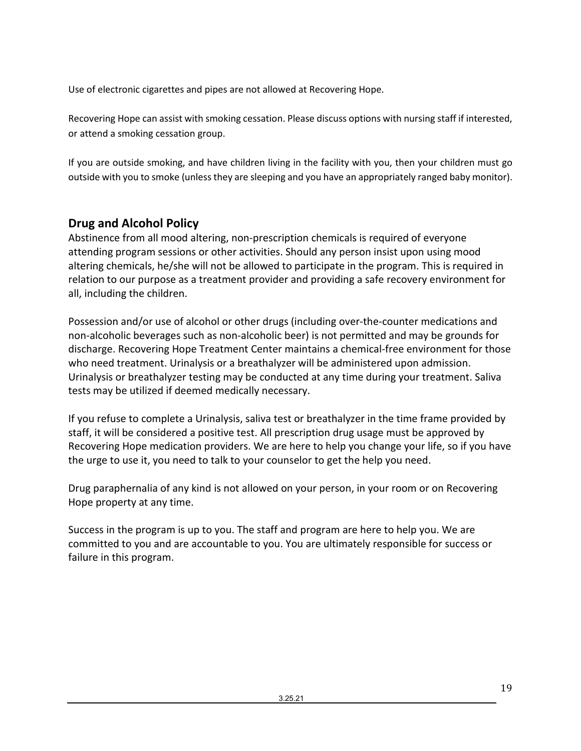Use of electronic cigarettes and pipes are not allowed at Recovering Hope.

Recovering Hope can assist with smoking cessation. Please discuss options with nursing staff if interested, or attend a smoking cessation group.

If you are outside smoking, and have children living in the facility with you, then your children must go outside with you to smoke (unless they are sleeping and you have an appropriately ranged baby monitor).

# <span id="page-18-0"></span>**Drug and Alcohol Policy**

Abstinence from all mood altering, non-prescription chemicals is required of everyone attending program sessions or other activities. Should any person insist upon using mood altering chemicals, he/she will not be allowed to participate in the program. This is required in relation to our purpose as a treatment provider and providing a safe recovery environment for all, including the children.

Possession and/or use of alcohol or other drugs (including over-the-counter medications and non-alcoholic beverages such as non-alcoholic beer) is not permitted and may be grounds for discharge. Recovering Hope Treatment Center maintains a chemical-free environment for those who need treatment. Urinalysis or a breathalyzer will be administered upon admission. Urinalysis or breathalyzer testing may be conducted at any time during your treatment. Saliva tests may be utilized if deemed medically necessary.

If you refuse to complete a Urinalysis, saliva test or breathalyzer in the time frame provided by staff, it will be considered a positive test. All prescription drug usage must be approved by Recovering Hope medication providers. We are here to help you change your life, so if you have the urge to use it, you need to talk to your counselor to get the help you need.

Drug paraphernalia of any kind is not allowed on your person, in your room or on Recovering Hope property at any time.

Success in the program is up to you. The staff and program are here to help you. We are committed to you and are accountable to you. You are ultimately responsible for success or failure in this program.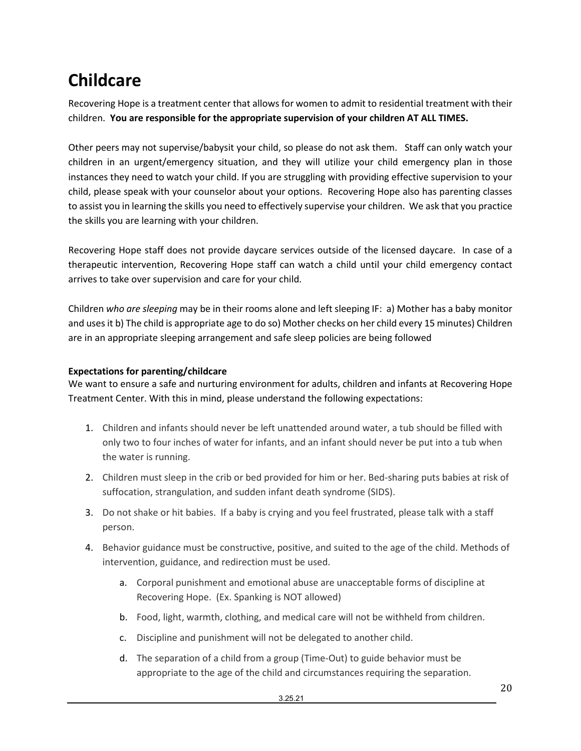# <span id="page-19-0"></span>**Childcare**

Recovering Hope is a treatment center that allows for women to admit to residential treatment with their children. **You are responsible for the appropriate supervision of your children AT ALL TIMES.** 

Other peers may not supervise/babysit your child, so please do not ask them. Staff can only watch your children in an urgent/emergency situation, and they will utilize your child emergency plan in those instances they need to watch your child. If you are struggling with providing effective supervision to your child, please speak with your counselor about your options. Recovering Hope also has parenting classes to assist you in learning the skills you need to effectively supervise your children. We ask that you practice the skills you are learning with your children.

Recovering Hope staff does not provide daycare services outside of the licensed daycare. In case of a therapeutic intervention, Recovering Hope staff can watch a child until your child emergency contact arrives to take over supervision and care for your child.

Children *who are sleeping* may be in their rooms alone and left sleeping IF: a) Mother has a baby monitor and uses it b) The child is appropriate age to do so) Mother checks on her child every 15 minutes) Children are in an appropriate sleeping arrangement and safe sleep policies are being followed

## <span id="page-19-1"></span>**Expectations for parenting/childcare**

We want to ensure a safe and nurturing environment for adults, children and infants at Recovering Hope Treatment Center. With this in mind, please understand the following expectations:

- 1. Children and infants should never be left unattended around water, a tub should be filled with only two to four inches of water for infants, and an infant should never be put into a tub when the water is running.
- 2. Children must sleep in the crib or bed provided for him or her. Bed-sharing puts babies at risk of suffocation, strangulation, and sudden infant death syndrome (SIDS).
- 3. Do not shake or hit babies. If a baby is crying and you feel frustrated, please talk with a staff person.
- 4. Behavior guidance must be constructive, positive, and suited to the age of the child. Methods of intervention, guidance, and redirection must be used.
	- a. Corporal punishment and emotional abuse are unacceptable forms of discipline at Recovering Hope. (Ex. Spanking is NOT allowed)
	- b. Food, light, warmth, clothing, and medical care will not be withheld from children.
	- c. Discipline and punishment will not be delegated to another child.
	- d. The separation of a child from a group (Time-Out) to guide behavior must be appropriate to the age of the child and circumstances requiring the separation.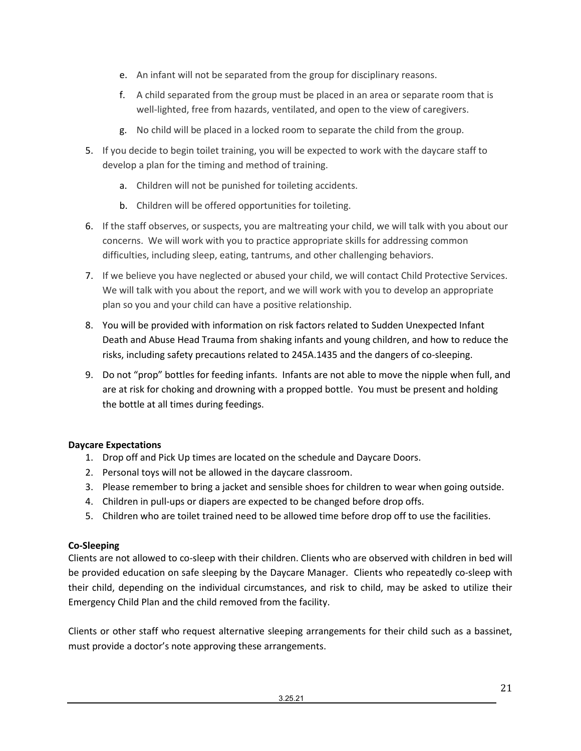- e. An infant will not be separated from the group for disciplinary reasons.
- f. A child separated from the group must be placed in an area or separate room that is well-lighted, free from hazards, ventilated, and open to the view of caregivers.
- g. No child will be placed in a locked room to separate the child from the group.
- 5. If you decide to begin toilet training, you will be expected to work with the daycare staff to develop a plan for the timing and method of training.
	- a. Children will not be punished for toileting accidents.
	- b. Children will be offered opportunities for toileting.
- 6. If the staff observes, or suspects, you are maltreating your child, we will talk with you about our concerns. We will work with you to practice appropriate skills for addressing common difficulties, including sleep, eating, tantrums, and other challenging behaviors.
- 7. If we believe you have neglected or abused your child, we will contact Child Protective Services. We will talk with you about the report, and we will work with you to develop an appropriate plan so you and your child can have a positive relationship.
- 8. You will be provided with information on risk factors related to Sudden Unexpected Infant Death and Abuse Head Trauma from shaking infants and young children, and how to reduce the risks, including safety precautions related to 245A.1435 and the dangers of co-sleeping.
- 9. Do not "prop" bottles for feeding infants. Infants are not able to move the nipple when full, and are at risk for choking and drowning with a propped bottle. You must be present and holding the bottle at all times during feedings.

## <span id="page-20-0"></span>**Daycare Expectations**

- 1. Drop off and Pick Up times are located on the schedule and Daycare Doors.
- 2. Personal toys will not be allowed in the daycare classroom.
- 3. Please remember to bring a jacket and sensible shoes for children to wear when going outside.
- 4. Children in pull-ups or diapers are expected to be changed before drop offs.
- 5. Children who are toilet trained need to be allowed time before drop off to use the facilities.

## <span id="page-20-1"></span>**Co-Sleeping**

Clients are not allowed to co-sleep with their children. Clients who are observed with children in bed will be provided education on safe sleeping by the Daycare Manager. Clients who repeatedly co-sleep with their child, depending on the individual circumstances, and risk to child, may be asked to utilize their Emergency Child Plan and the child removed from the facility.

Clients or other staff who request alternative sleeping arrangements for their child such as a bassinet, must provide a doctor's note approving these arrangements.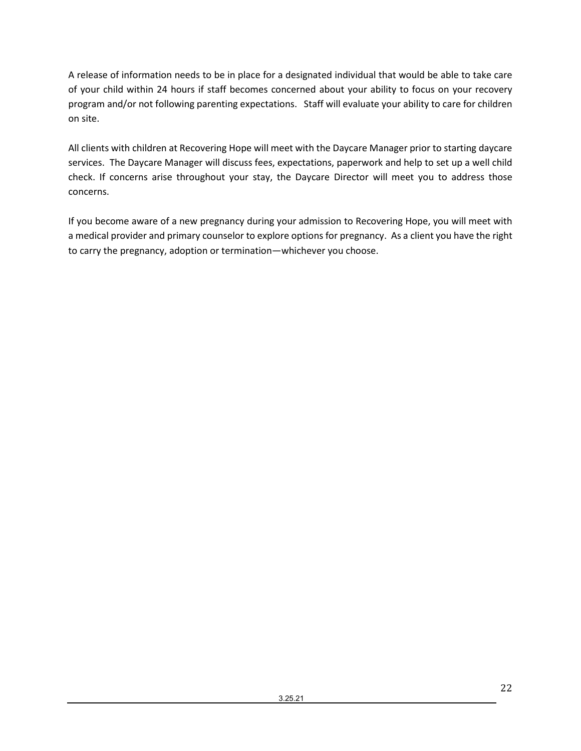A release of information needs to be in place for a designated individual that would be able to take care of your child within 24 hours if staff becomes concerned about your ability to focus on your recovery program and/or not following parenting expectations. Staff will evaluate your ability to care for children on site.

All clients with children at Recovering Hope will meet with the Daycare Manager prior to starting daycare services. The Daycare Manager will discuss fees, expectations, paperwork and help to set up a well child check. If concerns arise throughout your stay, the Daycare Director will meet you to address those concerns.

If you become aware of a new pregnancy during your admission to Recovering Hope, you will meet with a medical provider and primary counselor to explore options for pregnancy. As a client you have the right to carry the pregnancy, adoption or termination—whichever you choose.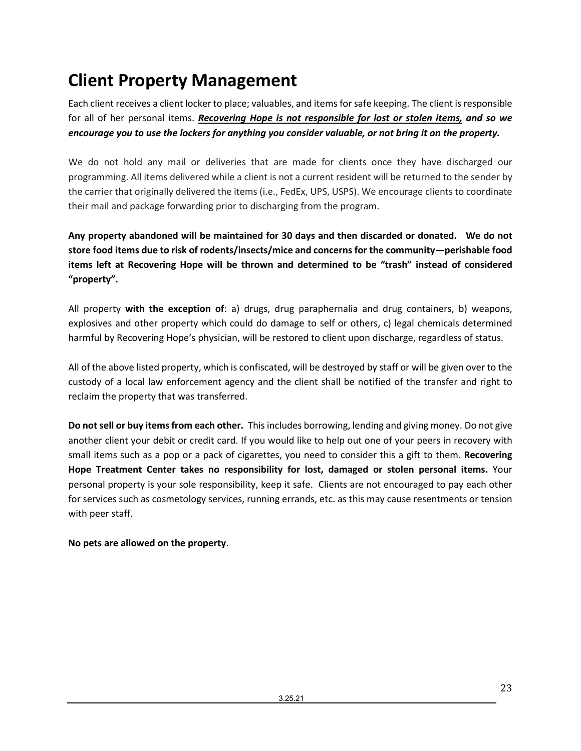# <span id="page-22-0"></span>**Client Property Management**

Each client receives a client locker to place; valuables, and items for safe keeping. The client is responsible for all of her personal items. *Recovering Hope is not responsible for lost or stolen items, and so we encourage you to use the lockers for anything you consider valuable, or not bring it on the property.*

We do not hold any mail or deliveries that are made for clients once they have discharged our programming. All items delivered while a client is not a current resident will be returned to the sender by the carrier that originally delivered the items (i.e., FedEx, UPS, USPS). We encourage clients to coordinate their mail and package forwarding prior to discharging from the program.

**Any property abandoned will be maintained for 30 days and then discarded or donated. We do not store food items due to risk of rodents/insects/mice and concerns for the community—perishable food items left at Recovering Hope will be thrown and determined to be "trash" instead of considered "property".** 

All property **with the exception of**: a) drugs, drug paraphernalia and drug containers, b) weapons, explosives and other property which could do damage to self or others, c) legal chemicals determined harmful by Recovering Hope's physician, will be restored to client upon discharge, regardless of status.

All of the above listed property, which is confiscated, will be destroyed by staff or will be given over to the custody of a local law enforcement agency and the client shall be notified of the transfer and right to reclaim the property that was transferred.

**Do not sell or buy items from each other.** This includes borrowing, lending and giving money. Do not give another client your debit or credit card. If you would like to help out one of your peers in recovery with small items such as a pop or a pack of cigarettes, you need to consider this a gift to them. **Recovering Hope Treatment Center takes no responsibility for lost, damaged or stolen personal items.** Your personal property is your sole responsibility, keep it safe. Clients are not encouraged to pay each other for services such as cosmetology services, running errands, etc. as this may cause resentments or tension with peer staff.

## **No pets are allowed on the property**.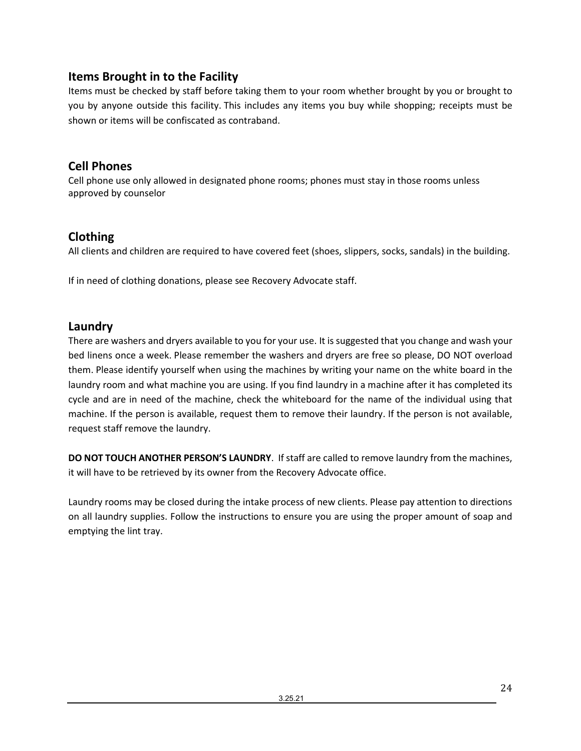# <span id="page-23-0"></span>**Items Brought in to the Facility**

Items must be checked by staff before taking them to your room whether brought by you or brought to you by anyone outside this facility. This includes any items you buy while shopping; receipts must be shown or items will be confiscated as contraband.

# <span id="page-23-1"></span>**Cell Phones**

Cell phone use only allowed in designated phone rooms; phones must stay in those rooms unless approved by counselor

# <span id="page-23-2"></span>**Clothing**

All clients and children are required to have covered feet (shoes, slippers, socks, sandals) in the building.

If in need of clothing donations, please see Recovery Advocate staff.

# <span id="page-23-3"></span>**Laundry**

There are washers and dryers available to you for your use. It is suggested that you change and wash your bed linens once a week. Please remember the washers and dryers are free so please, DO NOT overload them. Please identify yourself when using the machines by writing your name on the white board in the laundry room and what machine you are using. If you find laundry in a machine after it has completed its cycle and are in need of the machine, check the whiteboard for the name of the individual using that machine. If the person is available, request them to remove their laundry. If the person is not available, request staff remove the laundry.

**DO NOT TOUCH ANOTHER PERSON'S LAUNDRY**. If staff are called to remove laundry from the machines, it will have to be retrieved by its owner from the Recovery Advocate office.

Laundry rooms may be closed during the intake process of new clients. Please pay attention to directions on all laundry supplies. Follow the instructions to ensure you are using the proper amount of soap and emptying the lint tray.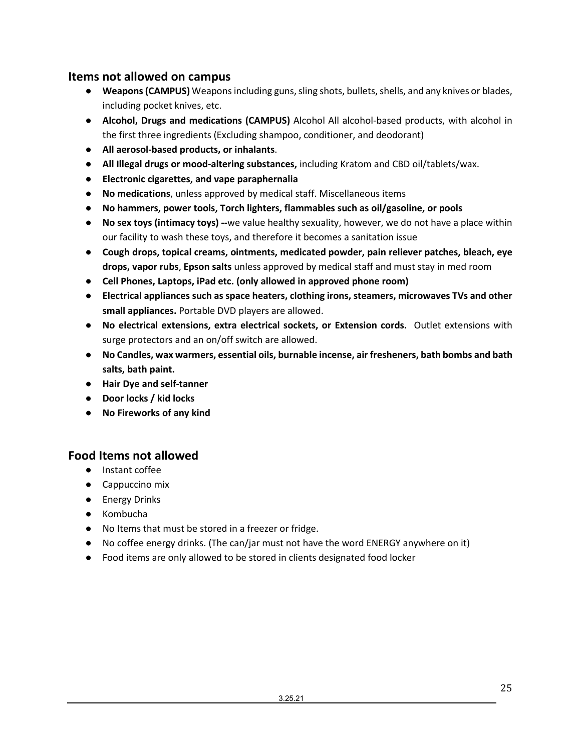## <span id="page-24-0"></span>**Items not allowed on campus**

- **Weapons (CAMPUS)** Weapons including guns, sling shots, bullets, shells, and any knives or blades, including pocket knives, etc.
- **Alcohol, Drugs and medications (CAMPUS)** Alcohol All alcohol-based products, with alcohol in the first three ingredients (Excluding shampoo, conditioner, and deodorant)
- **All aerosol-based products, or inhalants**.
- **All Illegal drugs or mood-altering substances,** including Kratom and CBD oil/tablets/wax.
- **Electronic cigarettes, and vape paraphernalia**
- **No medications**, unless approved by medical staff. Miscellaneous items
- **No hammers, power tools, Torch lighters, flammables such as oil/gasoline, or pools**
- **No sex toys (intimacy toys) --**we value healthy sexuality, however, we do not have a place within our facility to wash these toys, and therefore it becomes a sanitation issue
- **Cough drops, topical creams, ointments, medicated powder, pain reliever patches, bleach, eye drops, vapor rubs**, **Epson salts** unless approved by medical staff and must stay in med room
- **Cell Phones, Laptops, iPad etc. (only allowed in approved phone room)**
- **Electrical appliances such as space heaters, clothing irons, steamers, microwaves TVs and other small appliances.** Portable DVD players are allowed.
- **No electrical extensions, extra electrical sockets, or Extension cords.** Outlet extensions with surge protectors and an on/off switch are allowed.
- **No Candles, wax warmers, essential oils, burnable incense, air fresheners, bath bombs and bath salts, bath paint.**
- **Hair Dye and self-tanner**
- **Door locks / kid locks**
- **No Fireworks of any kind**

# <span id="page-24-1"></span>**Food Items not allowed**

- Instant coffee
- Cappuccino mix
- Energy Drinks
- Kombucha
- No Items that must be stored in a freezer or fridge.
- No coffee energy drinks. (The can/jar must not have the word ENERGY anywhere on it)
- Food items are only allowed to be stored in clients designated food locker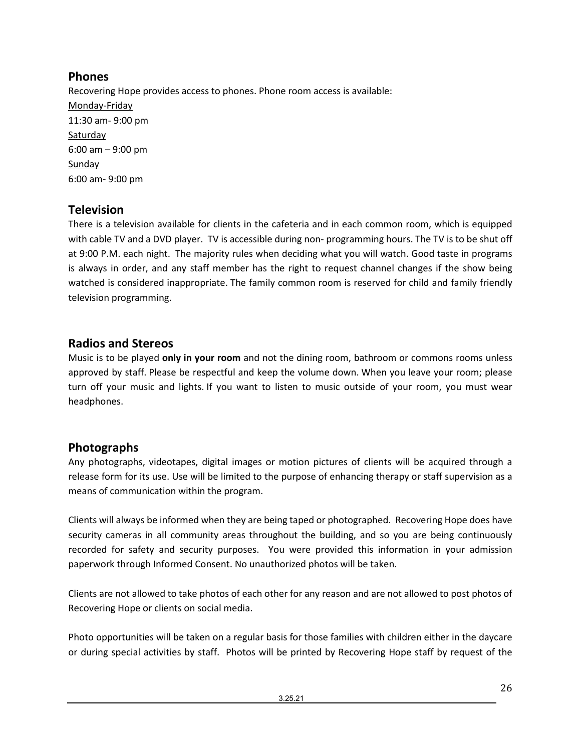# <span id="page-25-0"></span>**Phones**

Recovering Hope provides access to phones. Phone room access is available: Monday-Friday 11:30 am- 9:00 pm Saturday 6:00 am – 9:00 pm Sunday 6:00 am- 9:00 pm

# <span id="page-25-1"></span>**Television**

There is a television available for clients in the cafeteria and in each common room, which is equipped with cable TV and a DVD player. TV is accessible during non- programming hours. The TV is to be shut off at 9:00 P.M. each night. The majority rules when deciding what you will watch. Good taste in programs is always in order, and any staff member has the right to request channel changes if the show being watched is considered inappropriate. The family common room is reserved for child and family friendly television programming.

# <span id="page-25-2"></span>**Radios and Stereos**

Music is to be played **only in your room** and not the dining room, bathroom or commons rooms unless approved by staff. Please be respectful and keep the volume down. When you leave your room; please turn off your music and lights. If you want to listen to music outside of your room, you must wear headphones.

# <span id="page-25-3"></span>**Photographs**

Any photographs, videotapes, digital images or motion pictures of clients will be acquired through a release form for its use. Use will be limited to the purpose of enhancing therapy or staff supervision as a means of communication within the program.

Clients will always be informed when they are being taped or photographed. Recovering Hope does have security cameras in all community areas throughout the building, and so you are being continuously recorded for safety and security purposes. You were provided this information in your admission paperwork through Informed Consent. No unauthorized photos will be taken.

Clients are not allowed to take photos of each other for any reason and are not allowed to post photos of Recovering Hope or clients on social media.

Photo opportunities will be taken on a regular basis for those families with children either in the daycare or during special activities by staff. Photos will be printed by Recovering Hope staff by request of the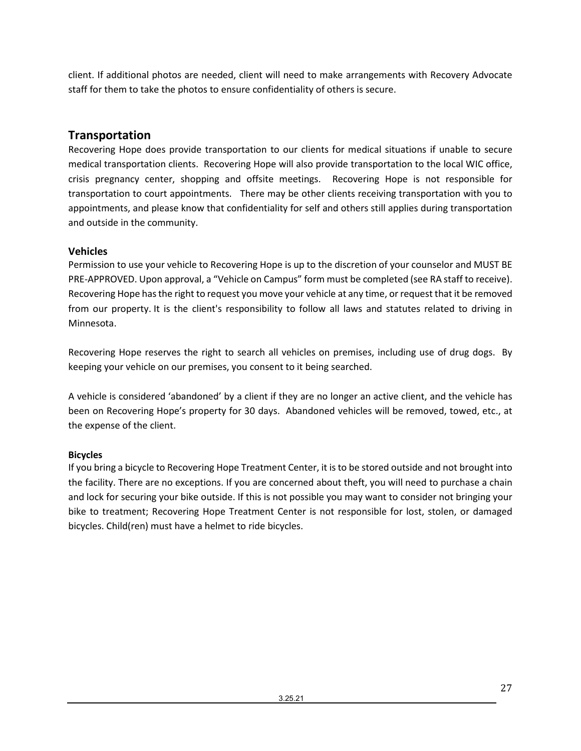client. If additional photos are needed, client will need to make arrangements with Recovery Advocate staff for them to take the photos to ensure confidentiality of others is secure.

# <span id="page-26-0"></span>**Transportation**

Recovering Hope does provide transportation to our clients for medical situations if unable to secure medical transportation clients. Recovering Hope will also provide transportation to the local WIC office, crisis pregnancy center, shopping and offsite meetings. Recovering Hope is not responsible for transportation to court appointments. There may be other clients receiving transportation with you to appointments, and please know that confidentiality for self and others still applies during transportation and outside in the community.

## **Vehicles**

Permission to use your vehicle to Recovering Hope is up to the discretion of your counselor and MUST BE PRE-APPROVED. Upon approval, a "Vehicle on Campus" form must be completed (see RA staff to receive). Recovering Hope has the right to request you move your vehicle at any time, or request that it be removed from our property. It is the client's responsibility to follow all laws and statutes related to driving in Minnesota.

Recovering Hope reserves the right to search all vehicles on premises, including use of drug dogs. By keeping your vehicle on our premises, you consent to it being searched.

A vehicle is considered 'abandoned' by a client if they are no longer an active client, and the vehicle has been on Recovering Hope's property for 30 days. Abandoned vehicles will be removed, towed, etc., at the expense of the client.

## **Bicycles**

If you bring a bicycle to Recovering Hope Treatment Center, it is to be stored outside and not brought into the facility. There are no exceptions. If you are concerned about theft, you will need to purchase a chain and lock for securing your bike outside. If this is not possible you may want to consider not bringing your bike to treatment; Recovering Hope Treatment Center is not responsible for lost, stolen, or damaged bicycles. Child(ren) must have a helmet to ride bicycles.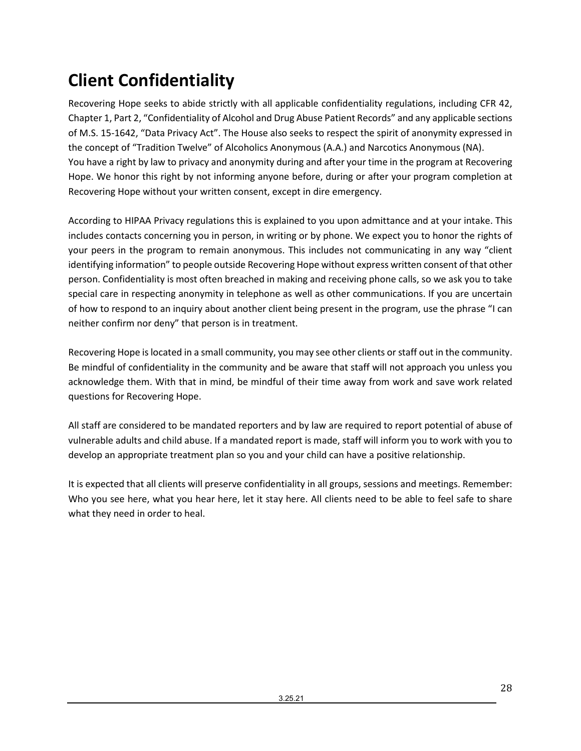# <span id="page-27-0"></span>**Client Confidentiality**

Recovering Hope seeks to abide strictly with all applicable confidentiality regulations, including CFR 42, Chapter 1, Part 2, "Confidentiality of Alcohol and Drug Abuse Patient Records" and any applicable sections of M.S. 15-1642, "Data Privacy Act". The House also seeks to respect the spirit of anonymity expressed in the concept of "Tradition Twelve" of Alcoholics Anonymous (A.A.) and Narcotics Anonymous (NA). You have a right by law to privacy and anonymity during and after your time in the program at Recovering Hope. We honor this right by not informing anyone before, during or after your program completion at Recovering Hope without your written consent, except in dire emergency.

According to HIPAA Privacy regulations this is explained to you upon admittance and at your intake. This includes contacts concerning you in person, in writing or by phone. We expect you to honor the rights of your peers in the program to remain anonymous. This includes not communicating in any way "client identifying information" to people outside Recovering Hope without express written consent of that other person. Confidentiality is most often breached in making and receiving phone calls, so we ask you to take special care in respecting anonymity in telephone as well as other communications. If you are uncertain of how to respond to an inquiry about another client being present in the program, use the phrase "I can neither confirm nor deny" that person is in treatment.

Recovering Hope is located in a small community, you may see other clients or staff out in the community. Be mindful of confidentiality in the community and be aware that staff will not approach you unless you acknowledge them. With that in mind, be mindful of their time away from work and save work related questions for Recovering Hope.

All staff are considered to be mandated reporters and by law are required to report potential of abuse of vulnerable adults and child abuse. If a mandated report is made, staff will inform you to work with you to develop an appropriate treatment plan so you and your child can have a positive relationship.

It is expected that all clients will preserve confidentiality in all groups, sessions and meetings. Remember: Who you see here, what you hear here, let it stay here. All clients need to be able to feel safe to share what they need in order to heal.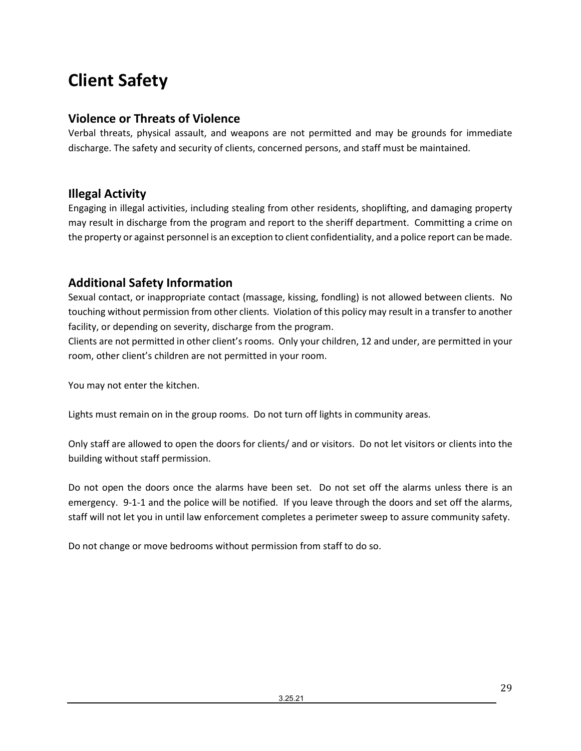# <span id="page-28-0"></span>**Client Safety**

## <span id="page-28-1"></span>**Violence or Threats of Violence**

Verbal threats, physical assault, and weapons are not permitted and may be grounds for immediate discharge. The safety and security of clients, concerned persons, and staff must be maintained.

# <span id="page-28-2"></span>**Illegal Activity**

Engaging in illegal activities, including stealing from other residents, shoplifting, and damaging property may result in discharge from the program and report to the sheriff department. Committing a crime on the property or against personnel is an exception to client confidentiality, and a police report can be made.

# <span id="page-28-3"></span>**Additional Safety Information**

Sexual contact, or inappropriate contact (massage, kissing, fondling) is not allowed between clients. No touching without permission from other clients. Violation of this policy may result in a transfer to another facility, or depending on severity, discharge from the program.

Clients are not permitted in other client's rooms. Only your children, 12 and under, are permitted in your room, other client's children are not permitted in your room.

You may not enter the kitchen.

Lights must remain on in the group rooms. Do not turn off lights in community areas.

Only staff are allowed to open the doors for clients/ and or visitors. Do not let visitors or clients into the building without staff permission.

Do not open the doors once the alarms have been set. Do not set off the alarms unless there is an emergency. 9-1-1 and the police will be notified. If you leave through the doors and set off the alarms, staff will not let you in until law enforcement completes a perimeter sweep to assure community safety.

Do not change or move bedrooms without permission from staff to do so.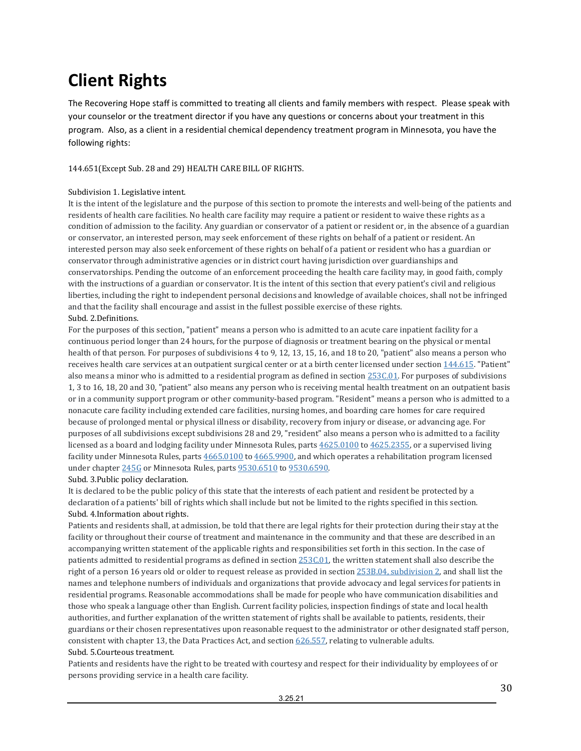# <span id="page-29-0"></span>**Client Rights**

The Recovering Hope staff is committed to treating all clients and family members with respect. Please speak with your counselor or the treatment director if you have any questions or concerns about your treatment in this program. Also, as a client in a residential chemical dependency treatment program in Minnesota, you have the following rights:

144.651(Except Sub. 28 and 29) HEALTH CARE BILL OF RIGHTS.

#### Subdivision 1. Legislative intent.

It is the intent of the legislature and the purpose of this section to promote the interests and well-being of the patients and residents of health care facilities. No health care facility may require a patient or resident to waive these rights as a condition of admission to the facility. Any guardian or conservator of a patient or resident or, in the absence of a guardian or conservator, an interested person, may seek enforcement of these rights on behalf of a patient or resident. An interested person may also seek enforcement of these rights on behalf of a patient or resident who has a guardian or conservator through administrative agencies or in district court having jurisdiction over guardianships and conservatorships. Pending the outcome of an enforcement proceeding the health care facility may, in good faith, comply with the instructions of a guardian or conservator. It is the intent of this section that every patient's civil and religious liberties, including the right to independent personal decisions and knowledge of available choices, shall not be infringed and that the facility shall encourage and assist in the fullest possible exercise of these rights. Subd. 2.Definitions.

For the purposes of this section, "patient" means a person who is admitted to an acute care inpatient facility for a continuous period longer than 24 hours, for the purpose of diagnosis or treatment bearing on the physical or mental health of that person. For purposes of subdivisions 4 to 9, 12, 13, 15, 16, and 18 to 20, "patient" also means a person who receives health care services at an outpatient surgical center or at a birth center licensed under sectio[n 144.615.](https://www.revisor.mn.gov/statutes/cite/144.615) "Patient" also means a minor who is admitted to a residential program as defined in sectio[n 253C.01.](https://www.revisor.mn.gov/statutes/cite/253C.01) For purposes of subdivisions 1, 3 to 16, 18, 20 and 30, "patient" also means any person who is receiving mental health treatment on an outpatient basis or in a community support program or other community-based program. "Resident" means a person who is admitted to a nonacute care facility including extended care facilities, nursing homes, and boarding care homes for care required because of prolonged mental or physical illness or disability, recovery from injury or disease, or advancing age. For purposes of all subdivisions except subdivisions 28 and 29, "resident" also means a person who is admitted to a facility licensed as a board and lodging facility under Minnesota Rules, part[s 4625.0100](https://www.revisor.mn.gov/rules/4625.0100) t[o 4625.2355,](https://www.revisor.mn.gov/rules/4625.2355) or a supervised living facility under Minnesota Rules, part[s 4665.0100](https://www.revisor.mn.gov/rules/4665.0100) t[o 4665.9900,](https://www.revisor.mn.gov/rules/4665.9900) and which operates a rehabilitation program licensed under chapte[r 245G](https://www.revisor.mn.gov/statutes/cite/245G) or Minnesota Rules, part[s 9530.6510](https://www.revisor.mn.gov/rules/9530.6510) t[o 9530.6590.](https://www.revisor.mn.gov/rules/9530.6590) Subd. 3.Public policy declaration.

It is declared to be the public policy of this state that the interests of each patient and resident be protected by a declaration of a patients' bill of rights which shall include but not be limited to the rights specified in this section. Subd. 4.Information about rights.

Patients and residents shall, at admission, be told that there are legal rights for their protection during their stay at the facility or throughout their course of treatment and maintenance in the community and that these are described in an accompanying written statement of the applicable rights and responsibilities set forth in this section. In the case of patients admitted to residential programs as defined in sectio[n 253C.01,](https://www.revisor.mn.gov/statutes/cite/253C.01) the written statement shall also describe the right of a person 16 years old or older to request release as provided in sectio[n 253B.04, subdivision 2,](https://www.revisor.mn.gov/statutes/cite/253B.04#stat.253B.04.2) and shall list the names and telephone numbers of individuals and organizations that provide advocacy and legal services for patients in residential programs. Reasonable accommodations shall be made for people who have communication disabilities and those who speak a language other than English. Current facility policies, inspection findings of state and local health authorities, and further explanation of the written statement of rights shall be available to patients, residents, their guardians or their chosen representatives upon reasonable request to the administrator or other designated staff person, consistent with chapter 13, the Data Practices Act, and sectio[n 626.557,](https://www.revisor.mn.gov/statutes/cite/626.557) relating to vulnerable adults. Subd. 5.Courteous treatment.

Patients and residents have the right to be treated with courtesy and respect for their individuality by employees of or persons providing service in a health care facility.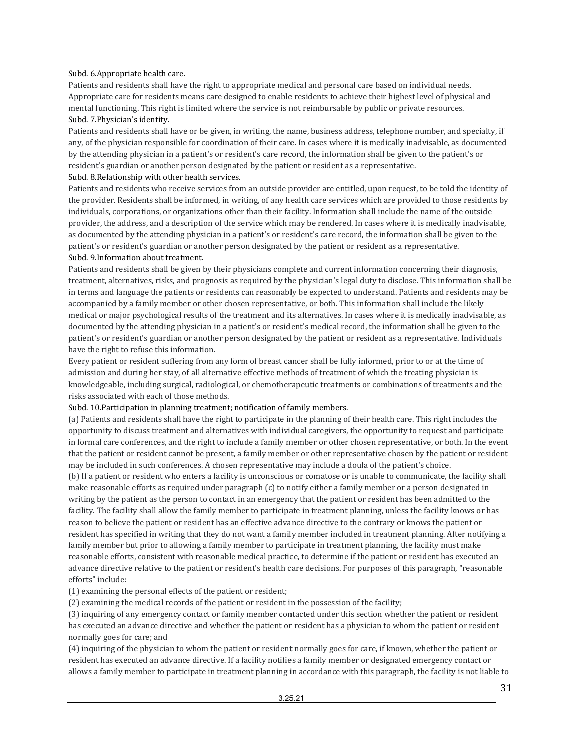#### Subd. 6.Appropriate health care.

Patients and residents shall have the right to appropriate medical and personal care based on individual needs. Appropriate care for residents means care designed to enable residents to achieve their highest level of physical and mental functioning. This right is limited where the service is not reimbursable by public or private resources. Subd. 7.Physician's identity.

Patients and residents shall have or be given, in writing, the name, business address, telephone number, and specialty, if any, of the physician responsible for coordination of their care. In cases where it is medically inadvisable, as documented by the attending physician in a patient's or resident's care record, the information shall be given to the patient's or resident's guardian or another person designated by the patient or resident as a representative.

#### Subd. 8.Relationship with other health services.

Patients and residents who receive services from an outside provider are entitled, upon request, to be told the identity of the provider. Residents shall be informed, in writing, of any health care services which are provided to those residents by individuals, corporations, or organizations other than their facility. Information shall include the name of the outside provider, the address, and a description of the service which may be rendered. In cases where it is medically inadvisable, as documented by the attending physician in a patient's or resident's care record, the information shall be given to the patient's or resident's guardian or another person designated by the patient or resident as a representative. Subd. 9.Information about treatment.

Patients and residents shall be given by their physicians complete and current information concerning their diagnosis, treatment, alternatives, risks, and prognosis as required by the physician's legal duty to disclose. This information shall be in terms and language the patients or residents can reasonably be expected to understand. Patients and residents may be accompanied by a family member or other chosen representative, or both. This information shall include the likely medical or major psychological results of the treatment and its alternatives. In cases where it is medically inadvisable, as documented by the attending physician in a patient's or resident's medical record, the information shall be given to the patient's or resident's guardian or another person designated by the patient or resident as a representative. Individuals have the right to refuse this information.

Every patient or resident suffering from any form of breast cancer shall be fully informed, prior to or at the time of admission and during her stay, of all alternative effective methods of treatment of which the treating physician is knowledgeable, including surgical, radiological, or chemotherapeutic treatments or combinations of treatments and the risks associated with each of those methods.

Subd. 10.Participation in planning treatment; notification of family members.

(a) Patients and residents shall have the right to participate in the planning of their health care. This right includes the opportunity to discuss treatment and alternatives with individual caregivers, the opportunity to request and participate in formal care conferences, and the right to include a family member or other chosen representative, or both. In the event that the patient or resident cannot be present, a family member or other representative chosen by the patient or resident may be included in such conferences. A chosen representative may include a doula of the patient's choice.

(b) If a patient or resident who enters a facility is unconscious or comatose or is unable to communicate, the facility shall make reasonable efforts as required under paragraph (c) to notify either a family member or a person designated in writing by the patient as the person to contact in an emergency that the patient or resident has been admitted to the facility. The facility shall allow the family member to participate in treatment planning, unless the facility knows or has reason to believe the patient or resident has an effective advance directive to the contrary or knows the patient or resident has specified in writing that they do not want a family member included in treatment planning. After notifying a family member but prior to allowing a family member to participate in treatment planning, the facility must make reasonable efforts, consistent with reasonable medical practice, to determine if the patient or resident has executed an advance directive relative to the patient or resident's health care decisions. For purposes of this paragraph, "reasonable efforts" include:

(1) examining the personal effects of the patient or resident;

(2) examining the medical records of the patient or resident in the possession of the facility;

(3) inquiring of any emergency contact or family member contacted under this section whether the patient or resident has executed an advance directive and whether the patient or resident has a physician to whom the patient or resident normally goes for care; and

(4) inquiring of the physician to whom the patient or resident normally goes for care, if known, whether the patient or resident has executed an advance directive. If a facility notifies a family member or designated emergency contact or allows a family member to participate in treatment planning in accordance with this paragraph, the facility is not liable to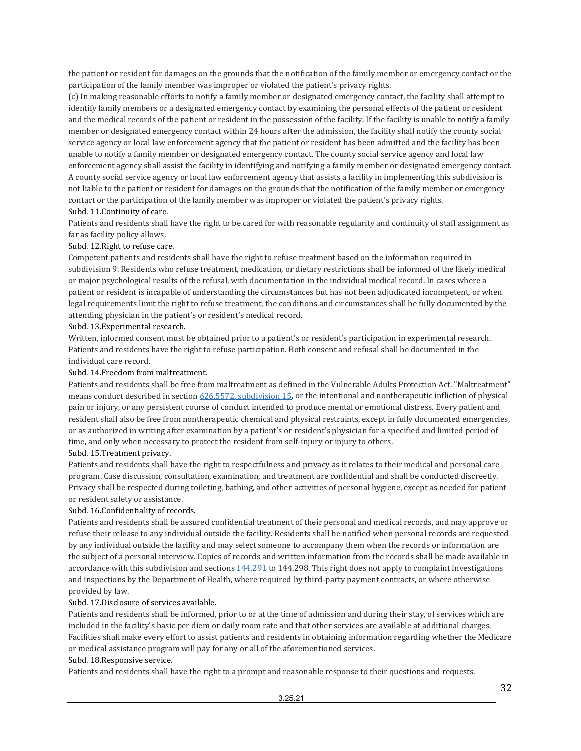the patient or resident for damages on the grounds that the notification of the family member or emergency contact or the participation of the family member was improper or violated the patient's privacy rights.

(c) In making reasonable efforts to notify a family member or designated emergency contact, the facility shall attempt to identify family members or a designated emergency contact by examining the personal effects of the patient or resident and the medical records of the patient or resident in the possession of the facility. If the facility is unable to notify a family member or designated emergency contact within 24 hours after the admission, the facility shall notify the county social service agency or local law enforcement agency that the patient or resident has been admitted and the facility has been unable to notify a family member or designated emergency contact. The county social service agency and local law enforcement agency shall assist the facility in identifying and notifying a family member or designated emergency contact. A county social service agency or local law enforcement agency that assists a facility in implementing this subdivision is not liable to the patient or resident for damages on the grounds that the notification of the family member or emergency contact or the participation of the family member was improper or violated the patient's privacy rights. Subd. 11.Continuity of care.

Patients and residents shall have the right to be cared for with reasonable regularity and continuity of staff assignment as far as facility policy allows.

#### Subd. 12.Right to refuse care.

Competent patients and residents shall have the right to refuse treatment based on the information required in subdivision 9. Residents who refuse treatment, medication, or dietary restrictions shall be informed of the likely medical or major psychological results of the refusal, with documentation in the individual medical record. In cases where a patient or resident is incapable of understanding the circumstances but has not been adjudicated incompetent, or when legal requirements limit the right to refuse treatment, the conditions and circumstances shall be fully documented by the attending physician in the patient's or resident's medical record.

#### Subd. 13.Experimental research.

Written, informed consent must be obtained prior to a patient's or resident's participation in experimental research. Patients and residents have the right to refuse participation. Both consent and refusal shall be documented in the individual care record.

#### Subd. 14.Freedom from maltreatment.

Patients and residents shall be free from maltreatment as defined in the Vulnerable Adults Protection Act. "Maltreatment" means conduct described in sectio[n 626.5572, subdivision 15,](https://www.revisor.mn.gov/statutes/cite/626.5572#stat.626.5572.15) or the intentional and nontherapeutic infliction of physical pain or injury, or any persistent course of conduct intended to produce mental or emotional distress. Every patient and resident shall also be free from nontherapeutic chemical and physical restraints, except in fully documented emergencies, or as authorized in writing after examination by a patient's or resident's physician for a specified and limited period of time, and only when necessary to protect the resident from self-injury or injury to others. Subd. 15.Treatment privacy.

Patients and residents shall have the right to respectfulness and privacy as it relates to their medical and personal care

program. Case discussion, consultation, examination, and treatment are confidential and shall be conducted discreetly. Privacy shall be respected during toileting, bathing, and other activities of personal hygiene, except as needed for patient or resident safety or assistance.

#### Subd. 16.Confidentiality of records.

Patients and residents shall be assured confidential treatment of their personal and medical records, and may approve or refuse their release to any individual outside the facility. Residents shall be notified when personal records are requested by any individual outside the facility and may select someone to accompany them when the records or information are the subject of a personal interview. Copies of records and written information from the records shall be made available in accordance with this subdivision and sections  $144.291$  to  $144.298$ . This right does not apply to complaint investigations and inspections by the Department of Health, where required by third-party payment contracts, or where otherwise provided by law.

#### Subd. 17.Disclosure of services available.

Patients and residents shall be informed, prior to or at the time of admission and during their stay, of services which are included in the facility's basic per diem or daily room rate and that other services are available at additional charges. Facilities shall make every effort to assist patients and residents in obtaining information regarding whether the Medicare or medical assistance program will pay for any or all of the aforementioned services.

#### Subd. 18.Responsive service.

Patients and residents shall have the right to a prompt and reasonable response to their questions and requests.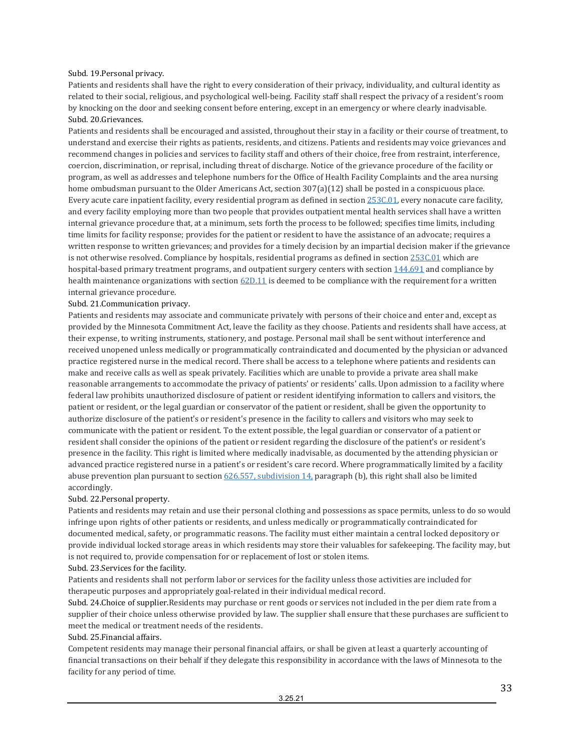#### Subd. 19.Personal privacy.

Patients and residents shall have the right to every consideration of their privacy, individuality, and cultural identity as related to their social, religious, and psychological well-being. Facility staff shall respect the privacy of a resident's room by knocking on the door and seeking consent before entering, except in an emergency or where clearly inadvisable. Subd. 20.Grievances.

Patients and residents shall be encouraged and assisted, throughout their stay in a facility or their course of treatment, to understand and exercise their rights as patients, residents, and citizens. Patients and residents may voice grievances and recommend changes in policies and services to facility staff and others of their choice, free from restraint, interference, coercion, discrimination, or reprisal, including threat of discharge. Notice of the grievance procedure of the facility or program, as well as addresses and telephone numbers for the Office of Health Facility Complaints and the area nursing home ombudsman pursuant to the Older Americans Act, section 307(a)(12) shall be posted in a conspicuous place. Every acute care inpatient facility, every residential program as defined in sectio[n 253C.01,](https://www.revisor.mn.gov/statutes/cite/253C.01) every nonacute care facility, and every facility employing more than two people that provides outpatient mental health services shall have a written internal grievance procedure that, at a minimum, sets forth the process to be followed; specifies time limits, including time limits for facility response; provides for the patient or resident to have the assistance of an advocate; requires a written response to written grievances; and provides for a timely decision by an impartial decision maker if the grievance is not otherwise resolved. Compliance by hospitals, residential programs as defined in sectio[n 253C.01](https://www.revisor.mn.gov/statutes/cite/253C.01) which are hospital-based primary treatment programs, and outpatient surgery centers with sectio[n 144.691](https://www.revisor.mn.gov/statutes/cite/144.691) and compliance by health maintenance organizations with section  $62D.11$  is deemed to be compliance with the requirement for a written internal grievance procedure.

#### Subd. 21.Communication privacy.

Patients and residents may associate and communicate privately with persons of their choice and enter and, except as provided by the Minnesota Commitment Act, leave the facility as they choose. Patients and residents shall have access, at their expense, to writing instruments, stationery, and postage. Personal mail shall be sent without interference and received unopened unless medically or programmatically contraindicated and documented by the physician or advanced practice registered nurse in the medical record. There shall be access to a telephone where patients and residents can make and receive calls as well as speak privately. Facilities which are unable to provide a private area shall make reasonable arrangements to accommodate the privacy of patients' or residents' calls. Upon admission to a facility where federal law prohibits unauthorized disclosure of patient or resident identifying information to callers and visitors, the patient or resident, or the legal guardian or conservator of the patient or resident, shall be given the opportunity to authorize disclosure of the patient's or resident's presence in the facility to callers and visitors who may seek to communicate with the patient or resident. To the extent possible, the legal guardian or conservator of a patient or resident shall consider the opinions of the patient or resident regarding the disclosure of the patient's or resident's presence in the facility. This right is limited where medically inadvisable, as documented by the attending physician or advanced practice registered nurse in a patient's or resident's care record. Where programmatically limited by a facility abuse prevention plan pursuant to section  $626.557$ , subdivision  $14$ , paragraph (b), this right shall also be limited accordingly.

#### Subd. 22.Personal property.

Patients and residents may retain and use their personal clothing and possessions as space permits, unless to do so would infringe upon rights of other patients or residents, and unless medically or programmatically contraindicated for documented medical, safety, or programmatic reasons. The facility must either maintain a central locked depository or provide individual locked storage areas in which residents may store their valuables for safekeeping. The facility may, but is not required to, provide compensation for or replacement of lost or stolen items.

#### Subd. 23.Services for the facility.

Patients and residents shall not perform labor or services for the facility unless those activities are included for therapeutic purposes and appropriately goal-related in their individual medical record.

Subd. 24.Choice of supplier.Residents may purchase or rent goods or services not included in the per diem rate from a supplier of their choice unless otherwise provided by law. The supplier shall ensure that these purchases are sufficient to meet the medical or treatment needs of the residents.

#### Subd. 25.Financial affairs.

Competent residents may manage their personal financial affairs, or shall be given at least a quarterly accounting of financial transactions on their behalf if they delegate this responsibility in accordance with the laws of Minnesota to the facility for any period of time.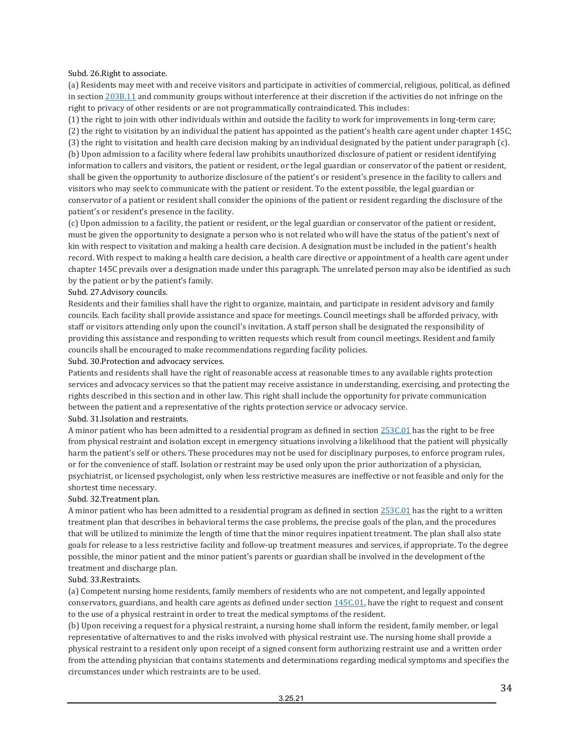Subd. 26.Right to associate.

(a) Residents may meet with and receive visitors and participate in activities of commercial, religious, political, as defined in sectio[n 203B.11](https://www.revisor.mn.gov/statutes/cite/203B.11) and community groups without interference at their discretion if the activities do not infringe on the right to privacy of other residents or are not programmatically contraindicated. This includes:

(1) the right to join with other individuals within and outside the facility to work for improvements in long-term care; (2) the right to visitation by an individual the patient has appointed as the patient's health care agent under chapter 145C; (3) the right to visitation and health care decision making by an individual designated by the patient under paragraph (c). (b) Upon admission to a facility where federal law prohibits unauthorized disclosure of patient or resident identifying information to callers and visitors, the patient or resident, or the legal guardian or conservator of the patient or resident, shall be given the opportunity to authorize disclosure of the patient's or resident's presence in the facility to callers and visitors who may seek to communicate with the patient or resident. To the extent possible, the legal guardian or conservator of a patient or resident shall consider the opinions of the patient or resident regarding the disclosure of the patient's or resident's presence in the facility.

(c) Upon admission to a facility, the patient or resident, or the legal guardian or conservator of the patient or resident, must be given the opportunity to designate a person who is not related who will have the status of the patient's next of kin with respect to visitation and making a health care decision. A designation must be included in the patient's health record. With respect to making a health care decision, a health care directive or appointment of a health care agent under chapter 145C prevails over a designation made under this paragraph. The unrelated person may also be identified as such by the patient or by the patient's family.

#### Subd. 27.Advisory councils.

Residents and their families shall have the right to organize, maintain, and participate in resident advisory and family councils. Each facility shall provide assistance and space for meetings. Council meetings shall be afforded privacy, with staff or visitors attending only upon the council's invitation. A staff person shall be designated the responsibility of providing this assistance and responding to written requests which result from council meetings. Resident and family councils shall be encouraged to make recommendations regarding facility policies.

Subd. 30.Protection and advocacy services.

Patients and residents shall have the right of reasonable access at reasonable times to any available rights protection services and advocacy services so that the patient may receive assistance in understanding, exercising, and protecting the rights described in this section and in other law. This right shall include the opportunity for private communication between the patient and a representative of the rights protection service or advocacy service. Subd. 31.Isolation and restraints.

A minor patient who has been admitted to a residential program as defined in sectio[n 253C.01](https://www.revisor.mn.gov/statutes/cite/253C.01) has the right to be free from physical restraint and isolation except in emergency situations involving a likelihood that the patient will physically harm the patient's self or others. These procedures may not be used for disciplinary purposes, to enforce program rules, or for the convenience of staff. Isolation or restraint may be used only upon the prior authorization of a physician, psychiatrist, or licensed psychologist, only when less restrictive measures are ineffective or not feasible and only for the shortest time necessary.

#### Subd. 32.Treatment plan.

A minor patient who has been admitted to a residential program as defined in sectio[n 253C.01](https://www.revisor.mn.gov/statutes/cite/253C.01) has the right to a written treatment plan that describes in behavioral terms the case problems, the precise goals of the plan, and the procedures that will be utilized to minimize the length of time that the minor requires inpatient treatment. The plan shall also state goals for release to a less restrictive facility and follow-up treatment measures and services, if appropriate. To the degree possible, the minor patient and the minor patient's parents or guardian shall be involved in the development of the treatment and discharge plan.

#### Subd. 33.Restraints.

(a) Competent nursing home residents, family members of residents who are not competent, and legally appointed conservators, guardians, and health care agents as defined under section  $145C.01$ , have the right to request and consent to the use of a physical restraint in order to treat the medical symptoms of the resident.

(b) Upon receiving a request for a physical restraint, a nursing home shall inform the resident, family member, or legal representative of alternatives to and the risks involved with physical restraint use. The nursing home shall provide a physical restraint to a resident only upon receipt of a signed consent form authorizing restraint use and a written order from the attending physician that contains statements and determinations regarding medical symptoms and specifies the circumstances under which restraints are to be used.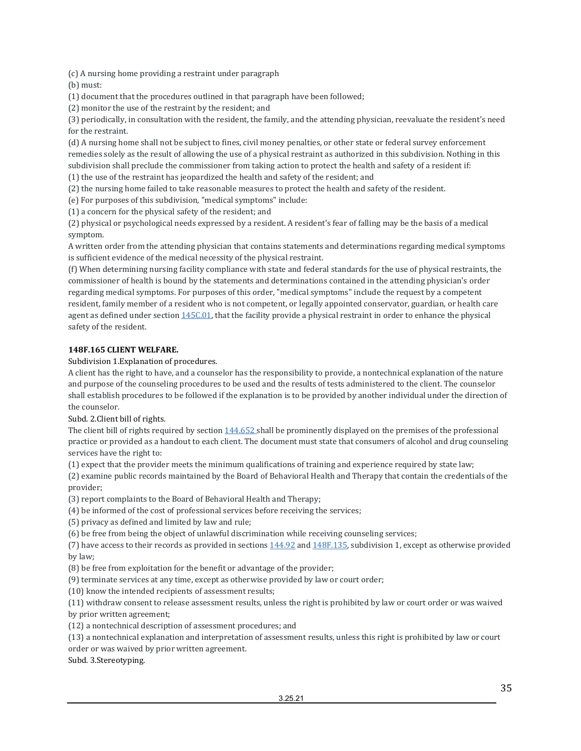(c) A nursing home providing a restraint under paragraph

(b) must:

(1) document that the procedures outlined in that paragraph have been followed;

(2) monitor the use of the restraint by the resident; and

(3) periodically, in consultation with the resident, the family, and the attending physician, reevaluate the resident's need for the restraint.

(d) A nursing home shall not be subject to fines, civil money penalties, or other state or federal survey enforcement remedies solely as the result of allowing the use of a physical restraint as authorized in this subdivision. Nothing in this subdivision shall preclude the commissioner from taking action to protect the health and safety of a resident if:

(1) the use of the restraint has jeopardized the health and safety of the resident; and (2) the nursing home failed to take reasonable measures to protect the health and safety of the resident.

(e) For purposes of this subdivision, "medical symptoms" include:

(1) a concern for the physical safety of the resident; and

(2) physical or psychological needs expressed by a resident. A resident's fear of falling may be the basis of a medical symptom.

A written order from the attending physician that contains statements and determinations regarding medical symptoms is sufficient evidence of the medical necessity of the physical restraint.

(f) When determining nursing facility compliance with state and federal standards for the use of physical restraints, the commissioner of health is bound by the statements and determinations contained in the attending physician's order regarding medical symptoms. For purposes of this order, "medical symptoms" include the request by a competent resident, family member of a resident who is not competent, or legally appointed conservator, guardian, or health care agent as defined under sectio[n 145C.01,](https://www.revisor.mn.gov/statutes/cite/145C.01) that the facility provide a physical restraint in order to enhance the physical safety of the resident.

#### **148F.165 CLIENT WELFARE.**

Subdivision 1.Explanation of procedures.

A client has the right to have, and a counselor has the responsibility to provide, a nontechnical explanation of the nature and purpose of the counseling procedures to be used and the results of tests administered to the client. The counselor shall establish procedures to be followed if the explanation is to be provided by another individual under the direction of the counselor.

Subd. 2.Client bill of rights.

The client bill of rights required by sectio[n 144.652 s](https://www.revisor.mn.gov/statutes/cite/144.652)hall be prominently displayed on the premises of the professional practice or provided as a handout to each client. The document must state that consumers of alcohol and drug counseling services have the right to:

(1) expect that the provider meets the minimum qualifications of training and experience required by state law;

(2) examine public records maintained by the Board of Behavioral Health and Therapy that contain the credentials of the provider;

(3) report complaints to the Board of Behavioral Health and Therapy;

(4) be informed of the cost of professional services before receiving the services;

(5) privacy as defined and limited by law and rule;

(6) be free from being the object of unlawful discrimination while receiving counseling services;

(7) have access to their records as provided in section[s 144.92](https://www.revisor.mn.gov/statutes/cite/144.92) an[d 148F.135,](https://www.revisor.mn.gov/statutes/cite/148F.135) subdivision 1, except as otherwise provided by law;

(8) be free from exploitation for the benefit or advantage of the provider;

(9) terminate services at any time, except as otherwise provided by law or court order;

(10) know the intended recipients of assessment results;

(11) withdraw consent to release assessment results, unless the right is prohibited by law or court order or was waived by prior written agreement;

(12) a nontechnical description of assessment procedures; and

(13) a nontechnical explanation and interpretation of assessment results, unless this right is prohibited by law or court order or was waived by prior written agreement.

Subd. 3.Stereotyping.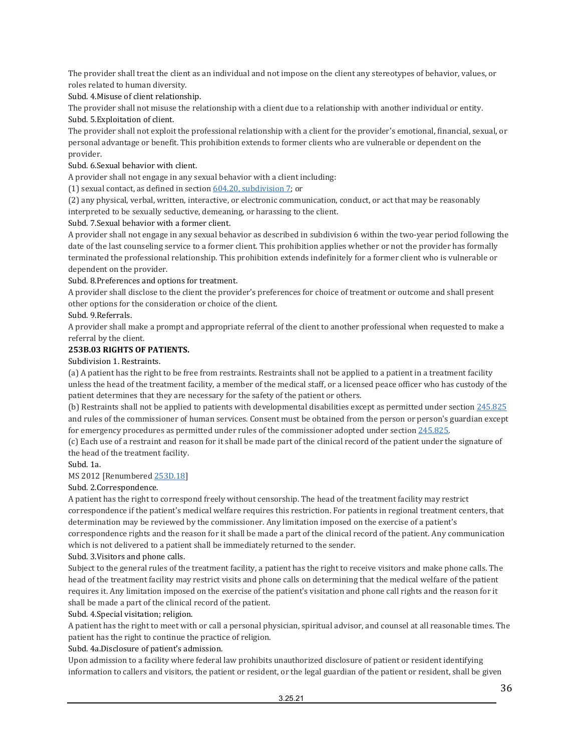The provider shall treat the client as an individual and not impose on the client any stereotypes of behavior, values, or roles related to human diversity.

Subd. 4.Misuse of client relationship.

The provider shall not misuse the relationship with a client due to a relationship with another individual or entity. Subd. 5.Exploitation of client.

The provider shall not exploit the professional relationship with a client for the provider's emotional, financial, sexual, or personal advantage or benefit. This prohibition extends to former clients who are vulnerable or dependent on the provider.

#### Subd. 6.Sexual behavior with client.

A provider shall not engage in any sexual behavior with a client including:

(1) sexual contact, as defined in section  $604.20$ , subdivision 7; or

(2) any physical, verbal, written, interactive, or electronic communication, conduct, or act that may be reasonably interpreted to be sexually seductive, demeaning, or harassing to the client.

#### Subd. 7.Sexual behavior with a former client.

A provider shall not engage in any sexual behavior as described in subdivision 6 within the two-year period following the date of the last counseling service to a former client. This prohibition applies whether or not the provider has formally terminated the professional relationship. This prohibition extends indefinitely for a former client who is vulnerable or dependent on the provider.

#### Subd. 8.Preferences and options for treatment.

A provider shall disclose to the client the provider's preferences for choice of treatment or outcome and shall present other options for the consideration or choice of the client.

Subd. 9.Referrals.

A provider shall make a prompt and appropriate referral of the client to another professional when requested to make a referral by the client.

#### **253B.03 RIGHTS OF PATIENTS.**

#### Subdivision 1. Restraints.

(a) A patient has the right to be free from restraints. Restraints shall not be applied to a patient in a treatment facility unless the head of the treatment facility, a member of the medical staff, or a licensed peace officer who has custody of the patient determines that they are necessary for the safety of the patient or others.

(b) Restraints shall not be applied to patients with developmental disabilities except as permitted under sectio[n 245.825](https://www.revisor.mn.gov/statutes/cite/245.825) and rules of the commissioner of human services. Consent must be obtained from the person or person's guardian except for emergency procedures as permitted under rules of the commissioner adopted under sectio[n 245.825.](https://www.revisor.mn.gov/statutes/cite/245.825) 

(c) Each use of a restraint and reason for it shall be made part of the clinical record of the patient under the signature of the head of the treatment facility.

#### Subd. 1a.

#### MS 2012 [Renumbere[d 253D.18\]](https://www.revisor.mn.gov/statutes/cite/253D.18)

Subd. 2.Correspondence.

A patient has the right to correspond freely without censorship. The head of the treatment facility may restrict correspondence if the patient's medical welfare requires this restriction. For patients in regional treatment centers, that determination may be reviewed by the commissioner. Any limitation imposed on the exercise of a patient's correspondence rights and the reason for it shall be made a part of the clinical record of the patient. Any communication which is not delivered to a patient shall be immediately returned to the sender.

#### Subd. 3.Visitors and phone calls.

Subject to the general rules of the treatment facility, a patient has the right to receive visitors and make phone calls. The head of the treatment facility may restrict visits and phone calls on determining that the medical welfare of the patient requires it. Any limitation imposed on the exercise of the patient's visitation and phone call rights and the reason for it shall be made a part of the clinical record of the patient.

Subd. 4.Special visitation; religion.

A patient has the right to meet with or call a personal physician, spiritual advisor, and counsel at all reasonable times. The patient has the right to continue the practice of religion.

Subd. 4a.Disclosure of patient's admission.

Upon admission to a facility where federal law prohibits unauthorized disclosure of patient or resident identifying information to callers and visitors, the patient or resident, or the legal guardian of the patient or resident, shall be given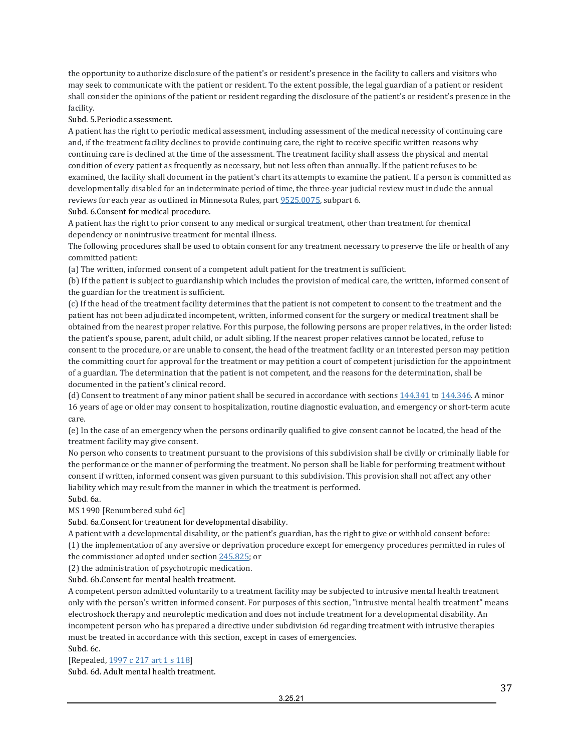the opportunity to authorize disclosure of the patient's or resident's presence in the facility to callers and visitors who may seek to communicate with the patient or resident. To the extent possible, the legal guardian of a patient or resident shall consider the opinions of the patient or resident regarding the disclosure of the patient's or resident's presence in the facility.

Subd. 5.Periodic assessment.

A patient has the right to periodic medical assessment, including assessment of the medical necessity of continuing care and, if the treatment facility declines to provide continuing care, the right to receive specific written reasons why continuing care is declined at the time of the assessment. The treatment facility shall assess the physical and mental condition of every patient as frequently as necessary, but not less often than annually. If the patient refuses to be examined, the facility shall document in the patient's chart its attempts to examine the patient. If a person is committed as developmentally disabled for an indeterminate period of time, the three-year judicial review must include the annual reviews for each year as outlined in Minnesota Rules, par[t 9525.0075,](https://www.revisor.mn.gov/rules/9525.0075) subpart 6. Subd. 6.Consent for medical procedure.

A patient has the right to prior consent to any medical or surgical treatment, other than treatment for chemical dependency or nonintrusive treatment for mental illness.

The following procedures shall be used to obtain consent for any treatment necessary to preserve the life or health of any committed patient:

(a) The written, informed consent of a competent adult patient for the treatment is sufficient.

(b) If the patient is subject to guardianship which includes the provision of medical care, the written, informed consent of the guardian for the treatment is sufficient.

(c) If the head of the treatment facility determines that the patient is not competent to consent to the treatment and the patient has not been adjudicated incompetent, written, informed consent for the surgery or medical treatment shall be obtained from the nearest proper relative. For this purpose, the following persons are proper relatives, in the order listed: the patient's spouse, parent, adult child, or adult sibling. If the nearest proper relatives cannot be located, refuse to consent to the procedure, or are unable to consent, the head of the treatment facility or an interested person may petition the committing court for approval for the treatment or may petition a court of competent jurisdiction for the appointment of a guardian. The determination that the patient is not competent, and the reasons for the determination, shall be documented in the patient's clinical record.

(d) Consent to treatment of any minor patient shall be secured in accordance with section[s 144.341](https://www.revisor.mn.gov/statutes/cite/144.341) to [144.346.](https://www.revisor.mn.gov/statutes/cite/144.346) A minor 16 years of age or older may consent to hospitalization, routine diagnostic evaluation, and emergency or short-term acute care.

(e) In the case of an emergency when the persons ordinarily qualified to give consent cannot be located, the head of the treatment facility may give consent.

No person who consents to treatment pursuant to the provisions of this subdivision shall be civilly or criminally liable for the performance or the manner of performing the treatment. No person shall be liable for performing treatment without consent if written, informed consent was given pursuant to this subdivision. This provision shall not affect any other liability which may result from the manner in which the treatment is performed.

Subd. 6a.

MS 1990 [Renumbered subd 6c]

Subd. 6a.Consent for treatment for developmental disability.

A patient with a developmental disability, or the patient's guardian, has the right to give or withhold consent before: (1) the implementation of any aversive or deprivation procedure except for emergency procedures permitted in rules of the commissioner adopted under sectio[n 245.825;](https://www.revisor.mn.gov/statutes/cite/245.825) or

(2) the administration of psychotropic medication.

Subd. 6b.Consent for mental health treatment.

A competent person admitted voluntarily to a treatment facility may be subjected to intrusive mental health treatment only with the person's written informed consent. For purposes of this section, "intrusive mental health treatment" means electroshock therapy and neuroleptic medication and does not include treatment for a developmental disability. An incompetent person who has prepared a directive under subdivision 6d regarding treatment with intrusive therapies must be treated in accordance with this section, except in cases of emergencies. Subd. 6c.

[Repealed[, 1997 c 217 art 1 s 118\]](https://www.revisor.mn.gov/laws/?id=217&year=1997&type=0)

Subd. 6d. Adult mental health treatment.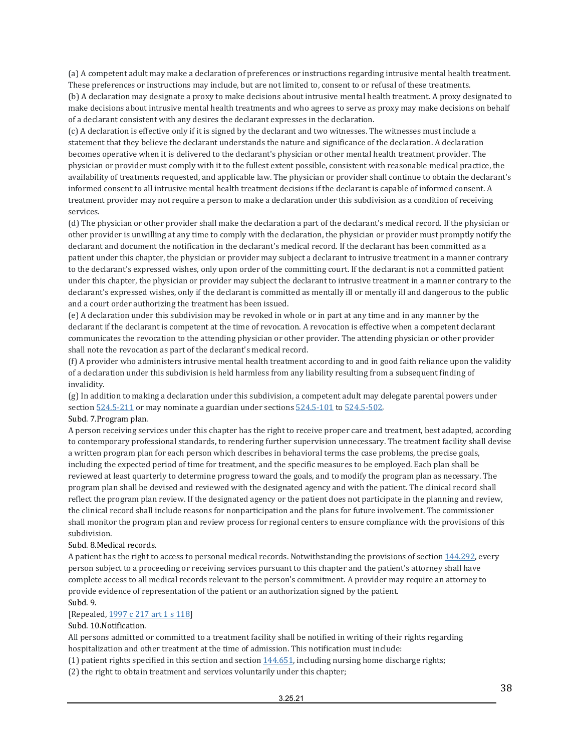(a) A competent adult may make a declaration of preferences or instructions regarding intrusive mental health treatment. These preferences or instructions may include, but are not limited to, consent to or refusal of these treatments.

(b) A declaration may designate a proxy to make decisions about intrusive mental health treatment. A proxy designated to make decisions about intrusive mental health treatments and who agrees to serve as proxy may make decisions on behalf of a declarant consistent with any desires the declarant expresses in the declaration.

(c) A declaration is effective only if it is signed by the declarant and two witnesses. The witnesses must include a statement that they believe the declarant understands the nature and significance of the declaration. A declaration becomes operative when it is delivered to the declarant's physician or other mental health treatment provider. The physician or provider must comply with it to the fullest extent possible, consistent with reasonable medical practice, the availability of treatments requested, and applicable law. The physician or provider shall continue to obtain the declarant's informed consent to all intrusive mental health treatment decisions if the declarant is capable of informed consent. A treatment provider may not require a person to make a declaration under this subdivision as a condition of receiving services.

(d) The physician or other provider shall make the declaration a part of the declarant's medical record. If the physician or other provider is unwilling at any time to comply with the declaration, the physician or provider must promptly notify the declarant and document the notification in the declarant's medical record. If the declarant has been committed as a patient under this chapter, the physician or provider may subject a declarant to intrusive treatment in a manner contrary to the declarant's expressed wishes, only upon order of the committing court. If the declarant is not a committed patient under this chapter, the physician or provider may subject the declarant to intrusive treatment in a manner contrary to the declarant's expressed wishes, only if the declarant is committed as mentally ill or mentally ill and dangerous to the public and a court order authorizing the treatment has been issued.

(e) A declaration under this subdivision may be revoked in whole or in part at any time and in any manner by the declarant if the declarant is competent at the time of revocation. A revocation is effective when a competent declarant communicates the revocation to the attending physician or other provider. The attending physician or other provider shall note the revocation as part of the declarant's medical record.

(f) A provider who administers intrusive mental health treatment according to and in good faith reliance upon the validity of a declaration under this subdivision is held harmless from any liability resulting from a subsequent finding of invalidity.

(g) In addition to making a declaration under this subdivision, a competent adult may delegate parental powers under sectio[n 524.5-211](https://www.revisor.mn.gov/statutes/cite/524.5-211) or may nominate a guardian under section[s 524.5-101](https://www.revisor.mn.gov/statutes/cite/524.5-101) to 524.5-502.

#### Subd. 7.Program plan.

A person receiving services under this chapter has the right to receive proper care and treatment, best adapted, according to contemporary professional standards, to rendering further supervision unnecessary. The treatment facility shall devise a written program plan for each person which describes in behavioral terms the case problems, the precise goals, including the expected period of time for treatment, and the specific measures to be employed. Each plan shall be reviewed at least quarterly to determine progress toward the goals, and to modify the program plan as necessary. The program plan shall be devised and reviewed with the designated agency and with the patient. The clinical record shall reflect the program plan review. If the designated agency or the patient does not participate in the planning and review, the clinical record shall include reasons for nonparticipation and the plans for future involvement. The commissioner shall monitor the program plan and review process for regional centers to ensure compliance with the provisions of this subdivision.

#### Subd. 8.Medical records.

A patient has the right to access to personal medical records. Notwithstanding the provisions of sectio[n 144.292,](https://www.revisor.mn.gov/statutes/cite/144.292) every person subject to a proceeding or receiving services pursuant to this chapter and the patient's attorney shall have complete access to all medical records relevant to the person's commitment. A provider may require an attorney to provide evidence of representation of the patient or an authorization signed by the patient.

#### Subd. 9.

#### [Repealed[, 1997 c 217 art 1 s 118\]](https://www.revisor.mn.gov/laws/?id=217&year=1997&type=0)

#### Subd. 10.Notification.

All persons admitted or committed to a treatment facility shall be notified in writing of their rights regarding hospitalization and other treatment at the time of admission. This notification must include:

(1) patient rights specified in this section and section  $144.651$ , including nursing home discharge rights;

(2) the right to obtain treatment and services voluntarily under this chapter;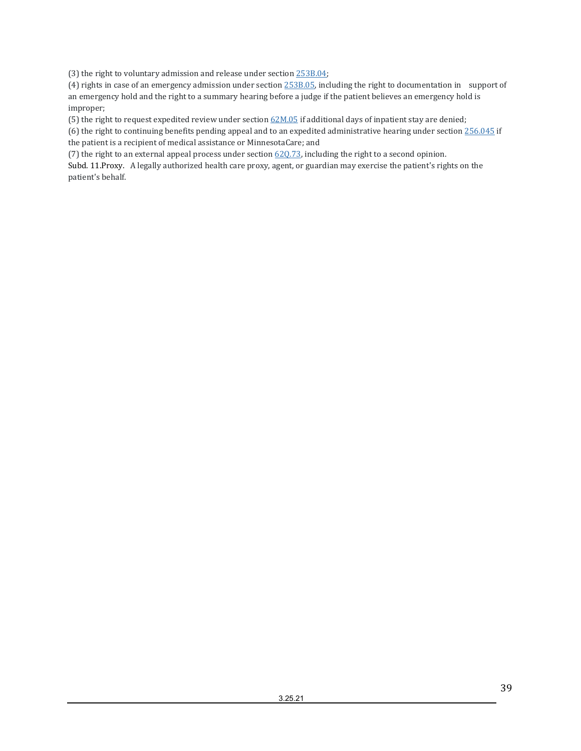(3) the right to voluntary admission and release under sectio[n 253B.04;](https://www.revisor.mn.gov/statutes/cite/253B.04) 

(4) rights in case of an emergency admission under sectio[n 253B.05,](https://www.revisor.mn.gov/statutes/cite/253B.05) including the right to documentation in support of an emergency hold and the right to a summary hearing before a judge if the patient believes an emergency hold is improper;

(5) the right to request expedited review under sectio[n 62M.05](https://www.revisor.mn.gov/statutes/cite/62M.05) if additional days of inpatient stay are denied;

(6) the right to continuing benefits pending appeal and to an expedited administrative hearing under sectio[n 256.045](https://www.revisor.mn.gov/statutes/cite/256.045) if the patient is a recipient of medical assistance or MinnesotaCare; and

(7) the right to an external appeal process under section  $620.73$ , including the right to a second opinion.

Subd. 11.Proxy. A legally authorized health care proxy, agent, or guardian may exercise the patient's rights on the patient's behalf.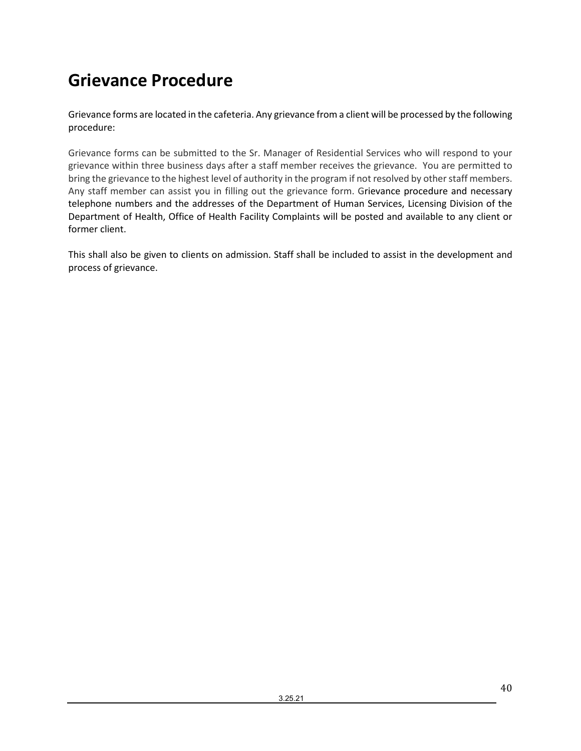# **Grievance Procedure**

Grievance forms are located in the cafeteria. Any grievance from a client will be processed by the following procedure:

Grievance forms can be submitted to the Sr. Manager of Residential Services who will respond to your grievance within three business days after a staff member receives the grievance. You are permitted to bring the grievance to the highest level of authority in the program if not resolved by other staff members. Any staff member can assist you in filling out the grievance form. Grievance procedure and necessary telephone numbers and the addresses of the Department of Human Services, Licensing Division of the Department of Health, Office of Health Facility Complaints will be posted and available to any client or former client.

This shall also be given to clients on admission. Staff shall be included to assist in the development and process of grievance.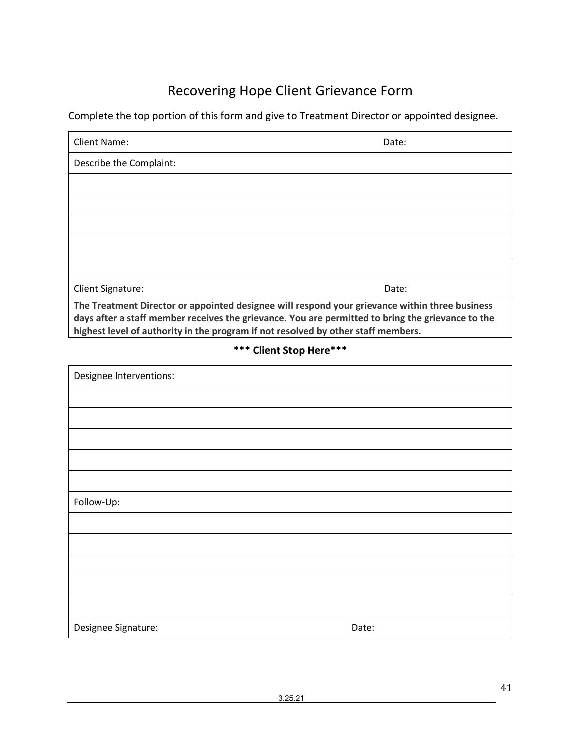# Recovering Hope Client Grievance Form

Complete the top portion of this form and give to Treatment Director or appointed designee.

| Client Name:                                                                                                                                                                                        | Date: |  |
|-----------------------------------------------------------------------------------------------------------------------------------------------------------------------------------------------------|-------|--|
| Describe the Complaint:                                                                                                                                                                             |       |  |
|                                                                                                                                                                                                     |       |  |
|                                                                                                                                                                                                     |       |  |
|                                                                                                                                                                                                     |       |  |
|                                                                                                                                                                                                     |       |  |
|                                                                                                                                                                                                     |       |  |
| <b>Client Signature:</b>                                                                                                                                                                            | Date: |  |
| The Treatment Director or appointed designee will respond your grievance within three business<br>days after a staff member receives the grievance. You are permitted to bring the grievance to the |       |  |

**highest level of authority in the program if not resolved by other staff members.**

## **\*\*\* Client Stop Here\*\*\***

| Designee Interventions: |       |
|-------------------------|-------|
|                         |       |
|                         |       |
|                         |       |
|                         |       |
|                         |       |
| Follow-Up:              |       |
|                         |       |
|                         |       |
|                         |       |
|                         |       |
|                         |       |
| Designee Signature:     | Date: |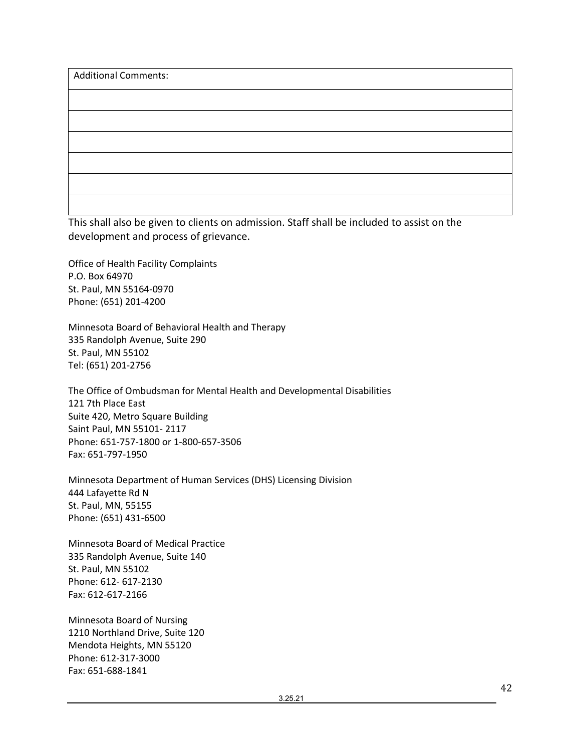| <b>Additional Comments:</b> |  |  |
|-----------------------------|--|--|
|                             |  |  |
|                             |  |  |
|                             |  |  |
|                             |  |  |
|                             |  |  |
|                             |  |  |

This shall also be given to clients on admission. Staff shall be included to assist on the development and process of grievance.

Office of Health Facility Complaints P.O. Box 64970 St. Paul, MN 55164-0970 Phone: (651) 201-4200

Minnesota Board of Behavioral Health and Therapy 335 Randolph Avenue, Suite 290 St. Paul, MN 55102 Tel: (651) 201-2756

The Office of Ombudsman for Mental Health and Developmental Disabilities 121 7th Place East Suite 420, Metro Square Building Saint Paul, MN 55101- 2117 Phone: 651-757-1800 or 1-800-657-3506 Fax: 651-797-1950

Minnesota Department of Human Services (DHS) Licensing Division 444 Lafayette Rd N St. Paul, MN, 55155 Phone: (651) 431-6500

Minnesota Board of Medical Practice 335 Randolph Avenue, Suite 140 St. Paul, MN 55102 Phone: 612- 617-2130 Fax: 612-617-2166

Minnesota Board of Nursing 1210 Northland Drive, Suite 120 Mendota Heights, MN 55120 Phone: 612-317-3000 Fax: 651-688-1841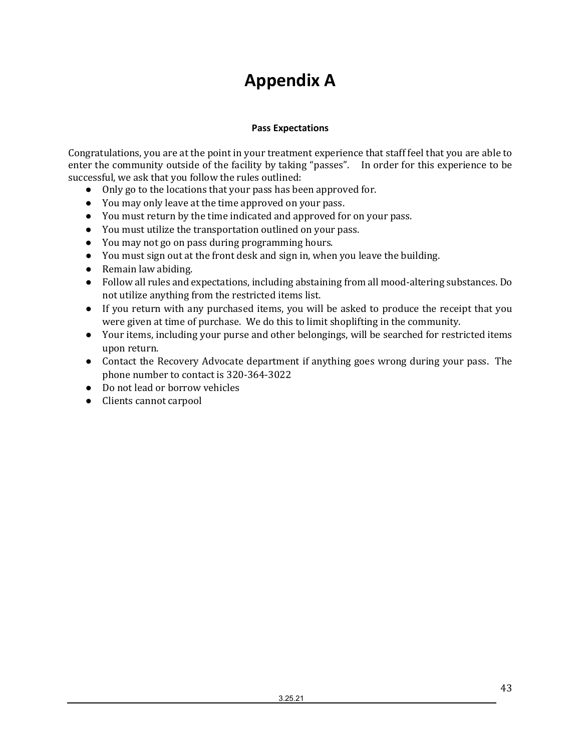# **Appendix A**

## **Pass Expectations**

<span id="page-42-1"></span><span id="page-42-0"></span>Congratulations, you are at the point in your treatment experience that staff feel that you are able to enter the community outside of the facility by taking "passes". In order for this experience to be successful, we ask that you follow the rules outlined:

- Only go to the locations that your pass has been approved for.
- You may only leave at the time approved on your pass.
- You must return by the time indicated and approved for on your pass.
- You must utilize the transportation outlined on your pass.
- You may not go on pass during programming hours.
- You must sign out at the front desk and sign in, when you leave the building.
- Remain law abiding.
- Follow all rules and expectations, including abstaining from all mood-altering substances. Do not utilize anything from the restricted items list.
- If you return with any purchased items, you will be asked to produce the receipt that you were given at time of purchase. We do this to limit shoplifting in the community.
- Your items, including your purse and other belongings, will be searched for restricted items upon return.
- Contact the Recovery Advocate department if anything goes wrong during your pass. The phone number to contact is 320-364-3022
- Do not lead or borrow vehicles
- Clients cannot carpool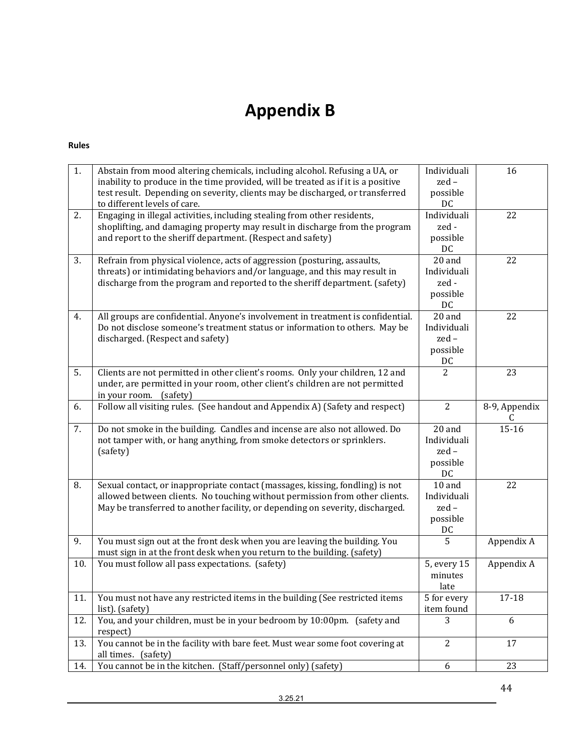# **Appendix B**

#### <span id="page-43-1"></span><span id="page-43-0"></span>**Rules**

| 1.  | Abstain from mood altering chemicals, including alcohol. Refusing a UA, or<br>inability to produce in the time provided, will be treated as if it is a positive<br>test result. Depending on severity, clients may be discharged, or transferred<br>to different levels of care. | Individuali<br>zed-<br>possible<br>DC           | 16                 |
|-----|----------------------------------------------------------------------------------------------------------------------------------------------------------------------------------------------------------------------------------------------------------------------------------|-------------------------------------------------|--------------------|
| 2.  | Engaging in illegal activities, including stealing from other residents,<br>shoplifting, and damaging property may result in discharge from the program<br>and report to the sheriff department. (Respect and safety)                                                            | Individuali<br>zed -<br>possible<br>DC          | 22                 |
| 3.  | Refrain from physical violence, acts of aggression (posturing, assaults,<br>threats) or intimidating behaviors and/or language, and this may result in<br>discharge from the program and reported to the sheriff department. (safety)                                            | 20 and<br>Individuali<br>zed-<br>possible<br>DC | 22                 |
| 4.  | All groups are confidential. Anyone's involvement in treatment is confidential.<br>Do not disclose someone's treatment status or information to others. May be<br>discharged. (Respect and safety)                                                                               | 20 and<br>Individuali<br>zed-<br>possible<br>DC | 22                 |
| 5.  | Clients are not permitted in other client's rooms. Only your children, 12 and<br>under, are permitted in your room, other client's children are not permitted<br>in your room.<br>(safety)                                                                                       | $\overline{2}$                                  | 23                 |
| 6.  | Follow all visiting rules. (See handout and Appendix A) (Safety and respect)                                                                                                                                                                                                     | $\overline{2}$                                  | 8-9, Appendix<br>C |
| 7.  | Do not smoke in the building. Candles and incense are also not allowed. Do<br>not tamper with, or hang anything, from smoke detectors or sprinklers.<br>(safety)                                                                                                                 | 20 and<br>Individuali<br>zed-<br>possible<br>DC | $15 - 16$          |
| 8.  | Sexual contact, or inappropriate contact (massages, kissing, fondling) is not<br>allowed between clients. No touching without permission from other clients.<br>May be transferred to another facility, or depending on severity, discharged.                                    | 10 and<br>Individuali<br>zed-<br>possible<br>DC | 22                 |
| 9.  | You must sign out at the front desk when you are leaving the building. You<br>must sign in at the front desk when you return to the building. (safety)                                                                                                                           | 5                                               | Appendix A         |
| 10. | You must follow all pass expectations. (safety)                                                                                                                                                                                                                                  | 5, every 15<br>minutes<br>late                  | Appendix A         |
| 11. | You must not have any restricted items in the building (See restricted items<br>list). (safety)                                                                                                                                                                                  | 5 for every<br>item found                       | 17-18              |
| 12. | You, and your children, must be in your bedroom by 10:00pm. (safety and<br>respect)                                                                                                                                                                                              | 3                                               | 6                  |
| 13. | You cannot be in the facility with bare feet. Must wear some foot covering at<br>all times. (safety)                                                                                                                                                                             | $\overline{2}$                                  | 17                 |
| 14. | You cannot be in the kitchen. (Staff/personnel only) (safety)                                                                                                                                                                                                                    | 6                                               | 23                 |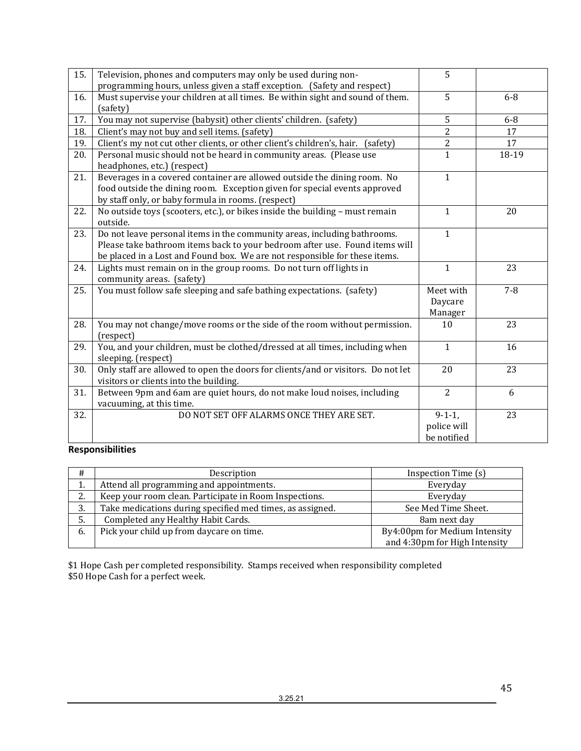| 15. | Television, phones and computers may only be used during non-<br>programming hours, unless given a staff exception. (Safety and respect) | 5              |         |
|-----|------------------------------------------------------------------------------------------------------------------------------------------|----------------|---------|
|     |                                                                                                                                          |                |         |
| 16. | Must supervise your children at all times. Be within sight and sound of them.                                                            | $\overline{5}$ | $6 - 8$ |
|     | (safety)                                                                                                                                 |                |         |
| 17. | You may not supervise (babysit) other clients' children. (safety)                                                                        | 5              | $6 - 8$ |
| 18. | Client's may not buy and sell items. (safety)                                                                                            | $\overline{2}$ | 17      |
| 19. | Client's my not cut other clients, or other client's children's, hair. (safety)                                                          | $\overline{2}$ | 17      |
| 20. | Personal music should not be heard in community areas. (Please use                                                                       | $\mathbf{1}$   | 18-19   |
|     | headphones, etc.) (respect)                                                                                                              |                |         |
| 21. | Beverages in a covered container are allowed outside the dining room. No                                                                 | $\mathbf{1}$   |         |
|     | food outside the dining room. Exception given for special events approved                                                                |                |         |
|     |                                                                                                                                          |                |         |
|     | by staff only, or baby formula in rooms. (respect)                                                                                       |                |         |
| 22. | No outside toys (scooters, etc.), or bikes inside the building - must remain                                                             | $\mathbf{1}$   | 20      |
|     | outside.                                                                                                                                 |                |         |
| 23. | Do not leave personal items in the community areas, including bathrooms.                                                                 | $\mathbf{1}$   |         |
|     | Please take bathroom items back to your bedroom after use. Found items will                                                              |                |         |
|     | be placed in a Lost and Found box. We are not responsible for these items.                                                               |                |         |
| 24. | Lights must remain on in the group rooms. Do not turn off lights in                                                                      | $\mathbf{1}$   | 23      |
|     |                                                                                                                                          |                |         |
|     | community areas. (safety)                                                                                                                |                |         |
| 25. | You must follow safe sleeping and safe bathing expectations. (safety)                                                                    | Meet with      | $7 - 8$ |
|     |                                                                                                                                          | Daycare        |         |
|     |                                                                                                                                          | Manager        |         |
| 28. | You may not change/move rooms or the side of the room without permission.                                                                | 10             | 23      |
|     | (respect)                                                                                                                                |                |         |
| 29. | You, and your children, must be clothed/dressed at all times, including when                                                             | $\mathbf{1}$   | 16      |
|     | sleeping. (respect)                                                                                                                      |                |         |
|     |                                                                                                                                          |                |         |
| 30. | Only staff are allowed to open the doors for clients/and or visitors. Do not let                                                         | 20             | 23      |
|     | visitors or clients into the building.                                                                                                   |                |         |
| 31. | Between 9pm and 6am are quiet hours, do not make loud noises, including                                                                  | $\overline{2}$ | 6       |
|     | vacuuming, at this time.                                                                                                                 |                |         |
| 32. | DO NOT SET OFF ALARMS ONCE THEY ARE SET.                                                                                                 | $9-1-1,$       | 23      |
|     |                                                                                                                                          | police will    |         |
|     |                                                                                                                                          | be notified    |         |
|     |                                                                                                                                          |                |         |

## <span id="page-44-0"></span>**Responsibilities**

| #                   | Description                                               | Inspection Time (s)           |
|---------------------|-----------------------------------------------------------|-------------------------------|
| π.                  | Attend all programming and appointments.                  | Everyday                      |
| $\mathcal{D}$<br>۷. | Keep your room clean. Participate in Room Inspections.    | Everyday                      |
| 3.                  | Take medications during specified med times, as assigned. | See Med Time Sheet.           |
| 5.                  | Completed any Healthy Habit Cards.                        | 8am next day                  |
| 6.                  | Pick your child up from daycare on time.                  | By4:00pm for Medium Intensity |
|                     |                                                           | and 4:30pm for High Intensity |

\$1 Hope Cash per completed responsibility. Stamps received when responsibility completed \$50 Hope Cash for a perfect week.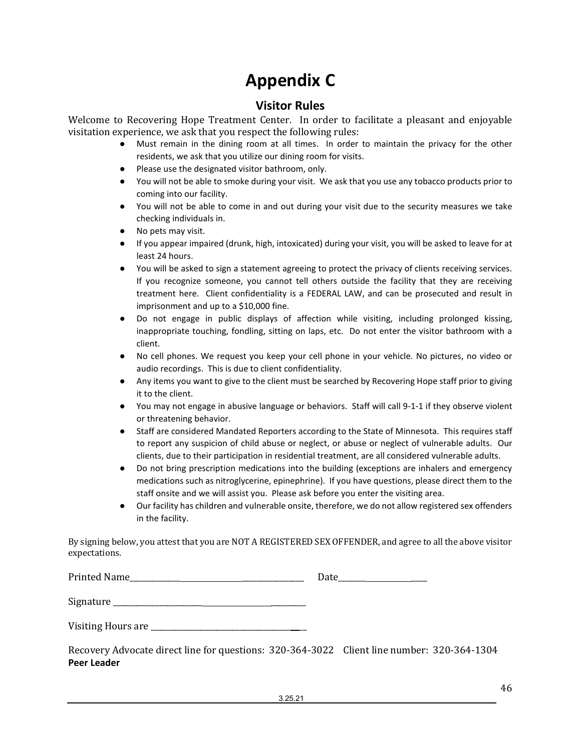# **Appendix C**

## **Visitor Rules**

<span id="page-45-1"></span><span id="page-45-0"></span>Welcome to Recovering Hope Treatment Center. In order to facilitate a pleasant and enjoyable visitation experience, we ask that you respect the following rules:<br>• Must remain in the dining room at all times. In order

- Must remain in the dining room at all times. In order to maintain the privacy for the other residents, we ask that you utilize our dining room for visits.
- Please use the designated visitor bathroom, only.
- You will not be able to smoke during your visit. We ask that you use any tobacco products prior to coming into our facility.
- You will not be able to come in and out during your visit due to the security measures we take checking individuals in.
- No pets may visit.
- If you appear impaired (drunk, high, intoxicated) during your visit, you will be asked to leave for at least 24 hours.
- You will be asked to sign a statement agreeing to protect the privacy of clients receiving services. If you recognize someone, you cannot tell others outside the facility that they are receiving treatment here. Client confidentiality is a FEDERAL LAW, and can be prosecuted and result in imprisonment and up to a \$10,000 fine.
- Do not engage in public displays of affection while visiting, including prolonged kissing, inappropriate touching, fondling, sitting on laps, etc. Do not enter the visitor bathroom with a client.
- No cell phones. We request you keep your cell phone in your vehicle. No pictures, no video or audio recordings. This is due to client confidentiality.
- Any items you want to give to the client must be searched by Recovering Hope staff prior to giving it to the client.
- You may not engage in abusive language or behaviors. Staff will call 9-1-1 if they observe violent or threatening behavior.
- Staff are considered Mandated Reporters according to the State of Minnesota. This requires staff to report any suspicion of child abuse or neglect, or abuse or neglect of vulnerable adults. Our clients, due to their participation in residential treatment, are all considered vulnerable adults.
- Do not bring prescription medications into the building (exceptions are inhalers and emergency medications such as nitroglycerine, epinephrine). If you have questions, please direct them to the staff onsite and we will assist you. Please ask before you enter the visiting area.
- Our facility has children and vulnerable onsite, therefore, we do not allow registered sex offenders in the facility.

By signing below, you attest that you are NOT A REGISTERED SEX OFFENDER, and agree to all the above visitor expectations.

| <b>Printed Name</b> |  |
|---------------------|--|
|                     |  |

Signature \_\_\_\_\_\_\_\_\_\_\_\_\_\_\_\_\_\_\_\_\_\_\_ \_\_\_\_\_\_\_\_\_

| Visiting Hours are |  |  |
|--------------------|--|--|
|--------------------|--|--|

Recovery Advocate direct line for questions: 320-364-3022 Client line number: 320-364-1304 **Peer Leader**